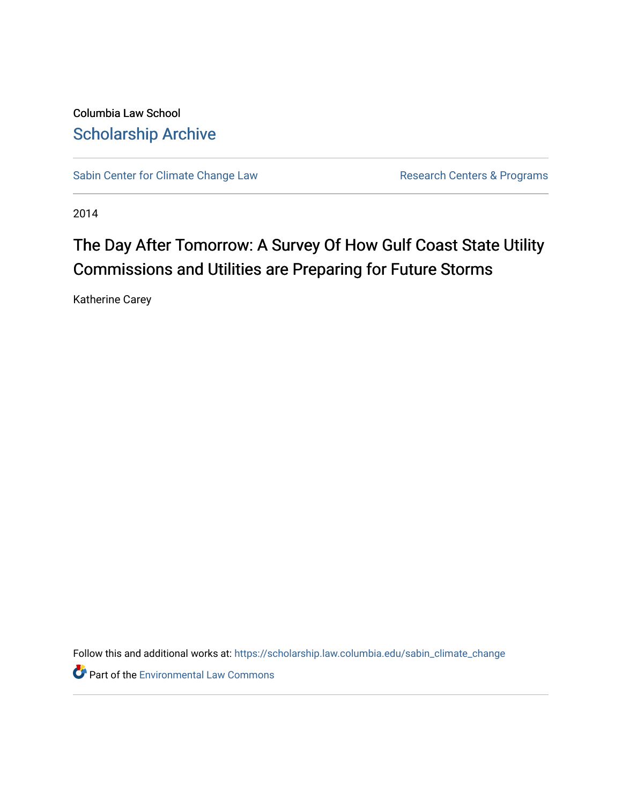Columbia Law School [Scholarship Archive](https://scholarship.law.columbia.edu/) 

[Sabin Center for Climate Change Law](https://scholarship.law.columbia.edu/sabin_climate_change) Research Centers & Programs

2014

# The Day After Tomorrow: A Survey Of How Gulf Coast State Utility Commissions and Utilities are Preparing for Future Storms

Katherine Carey

Follow this and additional works at: [https://scholarship.law.columbia.edu/sabin\\_climate\\_change](https://scholarship.law.columbia.edu/sabin_climate_change?utm_source=scholarship.law.columbia.edu%2Fsabin_climate_change%2F140&utm_medium=PDF&utm_campaign=PDFCoverPages) 

**Part of the [Environmental Law Commons](http://network.bepress.com/hgg/discipline/599?utm_source=scholarship.law.columbia.edu%2Fsabin_climate_change%2F140&utm_medium=PDF&utm_campaign=PDFCoverPages)**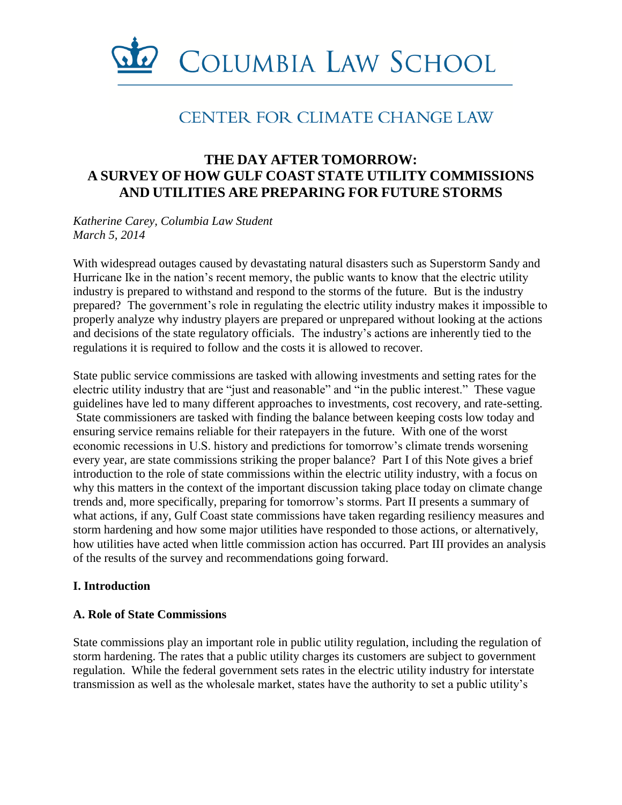

## **CENTER FOR CLIMATE CHANGE LAW**

## **THE DAY AFTER TOMORROW: A SURVEY OF HOW GULF COAST STATE UTILITY COMMISSIONS AND UTILITIES ARE PREPARING FOR FUTURE STORMS**

*Katherine Carey, Columbia Law Student March 5, 2014*

With widespread outages caused by devastating natural disasters such as Superstorm Sandy and Hurricane Ike in the nation's recent memory, the public wants to know that the electric utility industry is prepared to withstand and respond to the storms of the future. But is the industry prepared? The government's role in regulating the electric utility industry makes it impossible to properly analyze why industry players are prepared or unprepared without looking at the actions and decisions of the state regulatory officials. The industry's actions are inherently tied to the regulations it is required to follow and the costs it is allowed to recover.

State public service commissions are tasked with allowing investments and setting rates for the electric utility industry that are "just and reasonable" and "in the public interest." These vague guidelines have led to many different approaches to investments, cost recovery, and rate-setting. State commissioners are tasked with finding the balance between keeping costs low today and ensuring service remains reliable for their ratepayers in the future. With one of the worst economic recessions in U.S. history and predictions for tomorrow's climate trends worsening every year, are state commissions striking the proper balance? Part I of this Note gives a brief introduction to the role of state commissions within the electric utility industry, with a focus on why this matters in the context of the important discussion taking place today on climate change trends and, more specifically, preparing for tomorrow's storms. Part II presents a summary of what actions, if any, Gulf Coast state commissions have taken regarding resiliency measures and storm hardening and how some major utilities have responded to those actions, or alternatively, how utilities have acted when little commission action has occurred. Part III provides an analysis of the results of the survey and recommendations going forward.

#### **I. Introduction**

#### **A. Role of State Commissions**

State commissions play an important role in public utility regulation, including the regulation of storm hardening. The rates that a public utility charges its customers are subject to government regulation. While the federal government sets rates in the electric utility industry for interstate transmission as well as the wholesale market, states have the authority to set a public utility's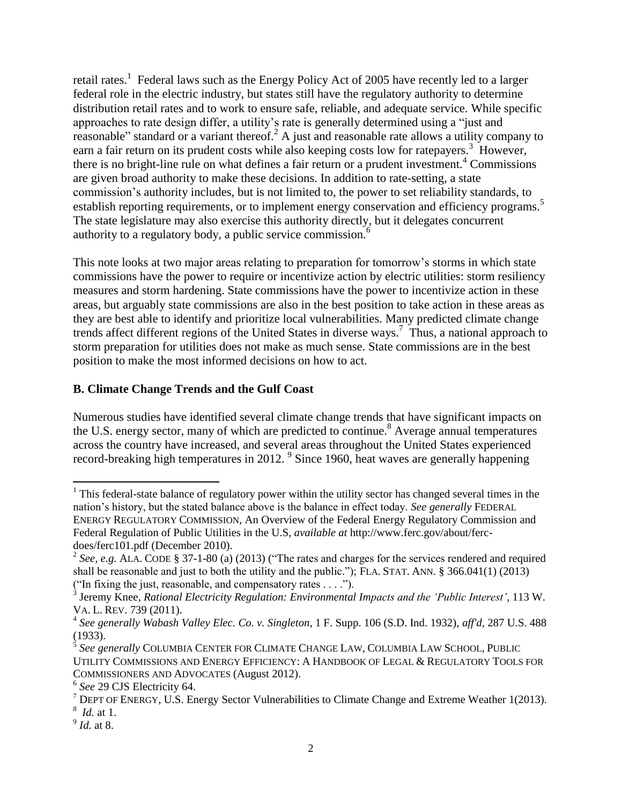retail rates.<sup>1</sup> Federal laws such as the Energy Policy Act of 2005 have recently led to a larger federal role in the electric industry, but states still have the regulatory authority to determine distribution retail rates and to work to ensure safe, reliable, and adequate service. While specific approaches to rate design differ, a utility's rate is generally determined using a "just and reasonable" standard or a variant thereof.<sup>2</sup> A just and reasonable rate allows a utility company to earn a fair return on its prudent costs while also keeping costs low for ratepayers.<sup>3</sup> However, there is no bright-line rule on what defines a fair return or a prudent investment.<sup>4</sup> Commissions are given broad authority to make these decisions. In addition to rate-setting, a state commission's authority includes, but is not limited to, the power to set reliability standards, to establish reporting requirements, or to implement energy conservation and efficiency programs.<sup>5</sup> The state legislature may also exercise this authority directly, but it delegates concurrent authority to a regulatory body, a public service commission.<sup>6</sup>

This note looks at two major areas relating to preparation for tomorrow's storms in which state commissions have the power to require or incentivize action by electric utilities: storm resiliency measures and storm hardening. State commissions have the power to incentivize action in these areas, but arguably state commissions are also in the best position to take action in these areas as they are best able to identify and prioritize local vulnerabilities. Many predicted climate change trends affect different regions of the United States in diverse ways. 7 Thus, a national approach to storm preparation for utilities does not make as much sense. State commissions are in the best position to make the most informed decisions on how to act.

## **B. Climate Change Trends and the Gulf Coast**

Numerous studies have identified several climate change trends that have significant impacts on the U.S. energy sector, many of which are predicted to continue.<sup>8</sup> Average annual temperatures across the country have increased, and several areas throughout the United States experienced record-breaking high temperatures in 2012. 9 Since 1960, heat waves are generally happening

l  $1$ <sup>1</sup> This federal-state balance of regulatory power within the utility sector has changed several times in the nation's history, but the stated balance above is the balance in effect today. *See generally* FEDERAL ENERGY REGULATORY COMMISSION, An Overview of the Federal Energy Regulatory Commission and Federal Regulation of Public Utilities in the U.S, *available at* http://www.ferc.gov/about/fercdoes/ferc101.pdf (December 2010).

<sup>&</sup>lt;sup>2</sup> See, e.g. ALA. CODE § 37-1-80 (a) (2013) ("The rates and charges for the services rendered and required shall be reasonable and just to both the utility and the public."); FLA. STAT. ANN. § 366.041(1) (2013)

<sup>(&</sup>quot;In fixing the just, reasonable, and compensatory rates . . . ."). 3 Jeremy Knee, *Rational Electricity Regulation: Environmental Impacts and the 'Public Interest'*, 113 W. VA. L. REV. 739 (2011).

<sup>4</sup> *See generally Wabash Valley Elec. Co. v. Singleton*, 1 F. Supp. 106 (S.D. Ind. 1932), *aff'd,* 287 U.S. 488 (1933).

<sup>5</sup> *See generally* COLUMBIA CENTER FOR CLIMATE CHANGE LAW, COLUMBIA LAW SCHOOL, PUBLIC UTILITY COMMISSIONS AND ENERGY EFFICIENCY: A HANDBOOK OF LEGAL & REGULATORY TOOLS FOR COMMISSIONERS AND ADVOCATES (August 2012).

<sup>6</sup> *See* 29 CJS Electricity 64.

 $<sup>7</sup>$  DEPT OF ENERGY, U.S. Energy Sector Vulnerabilities to Climate Change and Extreme Weather 1(2013).</sup>

<sup>8</sup> *Id.* at 1.

<sup>9</sup> *Id.* at 8.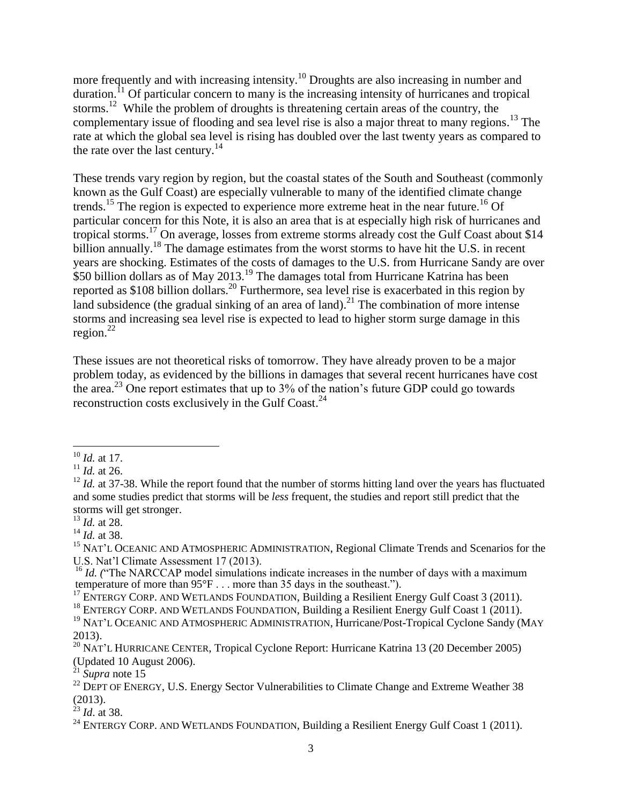more frequently and with increasing intensity.<sup>10</sup> Droughts are also increasing in number and duration.<sup>11</sup> Of particular concern to many is the increasing intensity of hurricanes and tropical storms.<sup>12</sup> While the problem of droughts is threatening certain areas of the country, the complementary issue of flooding and sea level rise is also a major threat to many regions. <sup>13</sup> The rate at which the global sea level is rising has doubled over the last twenty years as compared to the rate over the last century.<sup>14</sup>

These trends vary region by region, but the coastal states of the South and Southeast (commonly known as the Gulf Coast) are especially vulnerable to many of the identified climate change trends.<sup>15</sup> The region is expected to experience more extreme heat in the near future.<sup>16</sup> Of particular concern for this Note, it is also an area that is at especially high risk of hurricanes and tropical storms.<sup>17</sup> On average, losses from extreme storms already cost the Gulf Coast about \$14 billion annually.<sup>18</sup> The damage estimates from the worst storms to have hit the U.S. in recent years are shocking. Estimates of the costs of damages to the U.S. from Hurricane Sandy are over  $$50$  billion dollars as of May 2013.<sup>19</sup> The damages total from Hurricane Katrina has been reported as \$108 billion dollars.<sup>20</sup> Furthermore, sea level rise is exacerbated in this region by land subsidence (the gradual sinking of an area of land).<sup>21</sup> The combination of more intense storms and increasing sea level rise is expected to lead to higher storm surge damage in this region. 22

These issues are not theoretical risks of tomorrow. They have already proven to be a major problem today, as evidenced by the billions in damages that several recent hurricanes have cost the area.<sup>23</sup> One report estimates that up to  $3\%$  of the nation's future GDP could go towards reconstruction costs exclusively in the Gulf Coast.<sup>24</sup>

 $\overline{a}$ <sup>10</sup> *Id.* at 17.

 $11$  *Id.* at 26.

<sup>&</sup>lt;sup>12</sup> *Id.* at 37-38. While the report found that the number of storms hitting land over the years has fluctuated and some studies predict that storms will be *less* frequent, the studies and report still predict that the storms will get stronger.

<sup>13</sup> *Id.* at 28.

<sup>14</sup> *Id.* at 38.

<sup>&</sup>lt;sup>15</sup> NAT'L OCEANIC AND ATMOSPHERIC ADMINISTRATION, Regional Climate Trends and Scenarios for the U.S. Nat'l Climate Assessment 17 (2013).

<sup>&</sup>lt;sup>16</sup> *Id.* ("The NARCCAP model simulations indicate increases in the number of days with a maximum temperature of more than 95°F . . . more than 35 days in the southeast.").

<sup>&</sup>lt;sup>17</sup> ENTERGY CORP. AND WETLANDS FOUNDATION, Building a Resilient Energy Gulf Coast 3 (2011).

<sup>&</sup>lt;sup>18</sup> ENTERGY CORP. AND WETLANDS FOUNDATION, Building a Resilient Energy Gulf Coast 1 (2011).

<sup>&</sup>lt;sup>19</sup> NAT'L OCEANIC AND ATMOSPHERIC ADMINISTRATION, Hurricane/Post-Tropical Cyclone Sandy (MAY 2013).

<sup>&</sup>lt;sup>20</sup> NAT'L HURRICANE CENTER, Tropical Cyclone Report: Hurricane Katrina 13 (20 December 2005) (Updated 10 August 2006).

 $^{21}$  *Supra* note 15

 $22$  DEPT OF ENERGY, U.S. Energy Sector Vulnerabilities to Climate Change and Extreme Weather 38 (2013).

<sup>23</sup> *Id*. at 38.

<sup>&</sup>lt;sup>24</sup> ENTERGY CORP. AND WETLANDS FOUNDATION, Building a Resilient Energy Gulf Coast 1 (2011).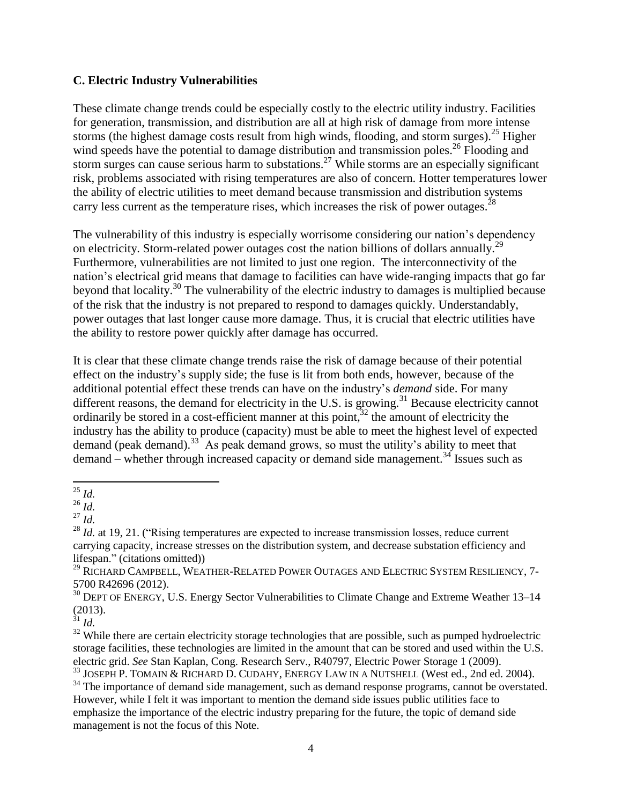#### **C. Electric Industry Vulnerabilities**

These climate change trends could be especially costly to the electric utility industry. Facilities for generation, transmission, and distribution are all at high risk of damage from more intense storms (the highest damage costs result from high winds, flooding, and storm surges).<sup>25</sup> Higher wind speeds have the potential to damage distribution and transmission poles.<sup>26</sup> Flooding and storm surges can cause serious harm to substations.<sup>27</sup> While storms are an especially significant risk, problems associated with rising temperatures are also of concern. Hotter temperatures lower the ability of electric utilities to meet demand because transmission and distribution systems carry less current as the temperature rises, which increases the risk of power outages.<sup>28</sup>

The vulnerability of this industry is especially worrisome considering our nation's dependency on electricity. Storm-related power outages cost the nation billions of dollars annually.<sup>29</sup> Furthermore, vulnerabilities are not limited to just one region. The interconnectivity of the nation's electrical grid means that damage to facilities can have wide-ranging impacts that go far beyond that locality.<sup>30</sup> The vulnerability of the electric industry to damages is multiplied because of the risk that the industry is not prepared to respond to damages quickly. Understandably, power outages that last longer cause more damage. Thus, it is crucial that electric utilities have the ability to restore power quickly after damage has occurred.

It is clear that these climate change trends raise the risk of damage because of their potential effect on the industry's supply side; the fuse is lit from both ends, however, because of the additional potential effect these trends can have on the industry's *demand* side. For many different reasons, the demand for electricity in the U.S. is growing.<sup>31</sup> Because electricity cannot ordinarily be stored in a cost-efficient manner at this point, $32$  the amount of electricity the industry has the ability to produce (capacity) must be able to meet the highest level of expected demand (peak demand). 33 As peak demand grows, so must the utility's ability to meet that  $d$  demand – whether through increased capacity or demand side management.<sup>34</sup> Issues such as

<sup>31</sup> *Id.*

l <sup>25</sup> *Id.* 

 $^{26}$  *Id.* 

<sup>27</sup> *Id.*

<sup>&</sup>lt;sup>28</sup> *Id.* at 19, 21. ("Rising temperatures are expected to increase transmission losses, reduce current carrying capacity, increase stresses on the distribution system, and decrease substation efficiency and lifespan." (citations omitted))

<sup>&</sup>lt;sup>29</sup> RICHARD CAMPBELL, WEATHER-RELATED POWER OUTAGES AND ELECTRIC SYSTEM RESILIENCY, 7-5700 R42696 (2012).

 $30$  DEPT OF ENERGY, U.S. Energy Sector Vulnerabilities to Climate Change and Extreme Weather 13–14 (2013).

<sup>&</sup>lt;sup>32</sup> While there are certain electricity storage technologies that are possible, such as pumped hydroelectric storage facilities, these technologies are limited in the amount that can be stored and used within the U.S. electric grid. *See* Stan Kaplan, Cong. Research Serv., R40797, Electric Power Storage 1 (2009).

<sup>&</sup>lt;sup>33</sup> JOSEPH P. TOMAIN & RICHARD D. CUDAHY, ENERGY LAW IN A NUTSHELL (West ed., 2nd ed. 2004).

<sup>&</sup>lt;sup>34</sup> The importance of demand side management, such as demand response programs, cannot be overstated. However, while I felt it was important to mention the demand side issues public utilities face to emphasize the importance of the electric industry preparing for the future, the topic of demand side management is not the focus of this Note.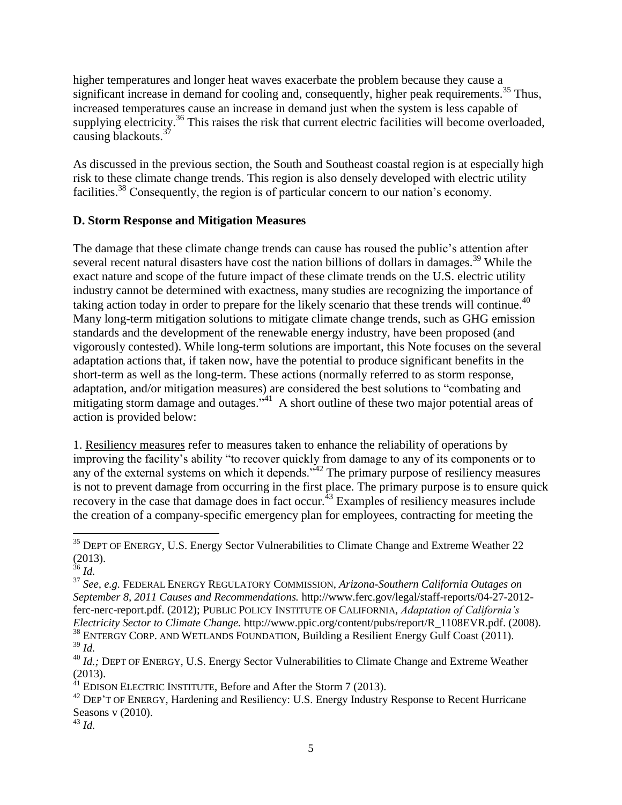higher temperatures and longer heat waves exacerbate the problem because they cause a significant increase in demand for cooling and, consequently, higher peak requirements.<sup>35</sup> Thus, increased temperatures cause an increase in demand just when the system is less capable of supplying electricity.<sup>36</sup> This raises the risk that current electric facilities will become overloaded, causing blackouts.<sup>37</sup>

As discussed in the previous section, the South and Southeast coastal region is at especially high risk to these climate change trends. This region is also densely developed with electric utility facilities.<sup>38</sup> Consequently, the region is of particular concern to our nation's economy.

## **D. Storm Response and Mitigation Measures**

The damage that these climate change trends can cause has roused the public's attention after several recent natural disasters have cost the nation billions of dollars in damages.<sup>39</sup> While the exact nature and scope of the future impact of these climate trends on the U.S. electric utility industry cannot be determined with exactness, many studies are recognizing the importance of taking action today in order to prepare for the likely scenario that these trends will continue.<sup>40</sup> Many long-term mitigation solutions to mitigate climate change trends, such as GHG emission standards and the development of the renewable energy industry, have been proposed (and vigorously contested). While long-term solutions are important, this Note focuses on the several adaptation actions that, if taken now, have the potential to produce significant benefits in the short-term as well as the long-term. These actions (normally referred to as storm response, adaptation, and/or mitigation measures) are considered the best solutions to "combating and mitigating storm damage and outages."<sup>41</sup> A short outline of these two major potential areas of action is provided below:

1. Resiliency measures refer to measures taken to enhance the reliability of operations by improving the facility's ability "to recover quickly from damage to any of its components or to any of the external systems on which it depends."<sup>42</sup> The primary purpose of resiliency measures is not to prevent damage from occurring in the first place. The primary purpose is to ensure quick recovery in the case that damage does in fact occur.<sup>43</sup> Examples of resiliency measures include the creation of a company-specific emergency plan for employees, contracting for meeting the

l

 $38$  ENTERGY CORP. AND WETLANDS FOUNDATION, Building a Resilient Energy Gulf Coast (2011). <sup>39</sup> *Id.*

 $35$  DEPT OF ENERGY, U.S. Energy Sector Vulnerabilities to Climate Change and Extreme Weather 22 (2013).

<sup>36</sup> *Id.* 

<sup>37</sup> *See, e.g.* FEDERAL ENERGY REGULATORY COMMISSION, *Arizona-Southern California Outages on September 8, 2011 Causes and Recommendations.* http://www.ferc.gov/legal/staff-reports/04-27-2012 ferc-nerc-report.pdf. (2012); PUBLIC POLICY INSTITUTE OF CALIFORNIA, *Adaptation of California's Electricity Sector to Climate Change.* http://www.ppic.org/content/pubs/report/R\_1108EVR.pdf. (2008).

<sup>&</sup>lt;sup>40</sup> *Id.*; DEPT OF ENERGY, U.S. Energy Sector Vulnerabilities to Climate Change and Extreme Weather (2013).

 $^{41}$  EDISON ELECTRIC INSTITUTE, Before and After the Storm 7 (2013).

 $42$  DEP'T OF ENERGY, Hardening and Resiliency: U.S. Energy Industry Response to Recent Hurricane Seasons v (2010).

<sup>43</sup> *Id.*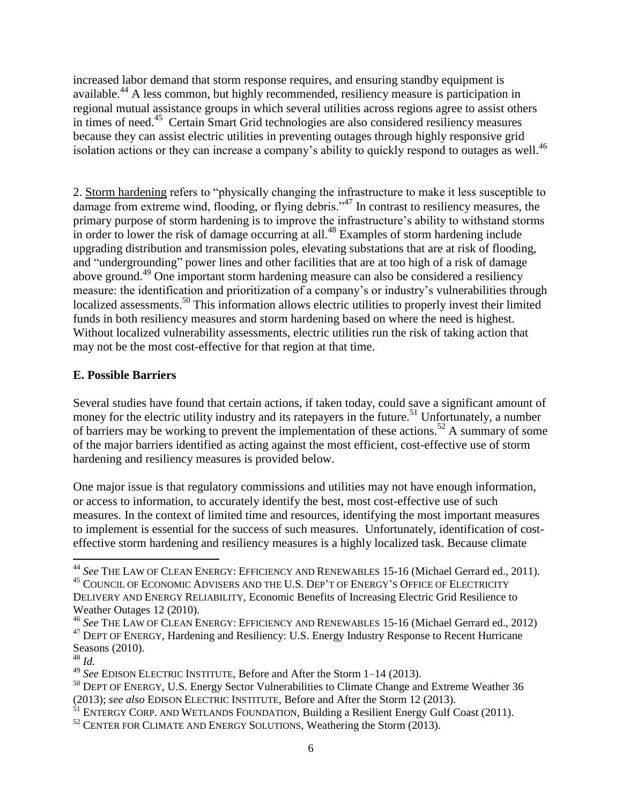increased labor demand that storm response requires, and ensuring standby equipment is available. <sup>44</sup> A less common, but highly recommended, resiliency measure is participation in regional mutual assistance groups in which several utilities across regions agree to assist others in times of need.<sup>45</sup> Certain Smart Grid technologies are also considered resiliency measures because they can assist electric utilities in preventing outages through highly responsive grid isolation actions or they can increase a company's ability to quickly respond to outages as well.<sup>46</sup>

2. Storm hardening refers to "physically changing the infrastructure to make it less susceptible to damage from extreme wind, flooding, or flying debris."<sup>47</sup> In contrast to resiliency measures, the primary purpose of storm hardening is to improve the infrastructure's ability to withstand storms in order to lower the risk of damage occurring at all.<sup>48</sup> Examples of storm hardening include upgrading distribution and transmission poles, elevating substations that are at risk of flooding, and "undergrounding" power lines and other facilities that are at too high of a risk of damage above ground.<sup>49</sup> One important storm hardening measure can also be considered a resiliency measure: the identification and prioritization of a company's or industry's vulnerabilities through localized assessments.<sup>50</sup> This information allows electric utilities to properly invest their limited funds in both resiliency measures and storm hardening based on where the need is highest. Without localized vulnerability assessments, electric utilities run the risk of taking action that may not be the most cost-effective for that region at that time.

#### **E. Possible Barriers**

Several studies have found that certain actions, if taken today, could save a significant amount of money for the electric utility industry and its ratepayers in the future.<sup>51</sup> Unfortunately, a number of barriers may be working to prevent the implementation of these actions.<sup>52</sup> A summary of some of the major barriers identified as acting against the most efficient, cost-effective use of storm hardening and resiliency measures is provided below.

One major issue is that regulatory commissions and utilities may not have enough information, or access to information, to accurately identify the best, most cost-effective use of such measures. In the context of limited time and resources, identifying the most important measures to implement is essential for the success of such measures. Unfortunately, identification of costeffective storm hardening and resiliency measures is a highly localized task. Because climate

<sup>44</sup> *See* THE LAW OF CLEAN ENERGY: EFFICIENCY AND RENEWABLES 15-16 (Michael Gerrard ed., 2011).

<sup>&</sup>lt;sup>45</sup> COUNCIL OF ECONOMIC ADVISERS AND THE U.S. DEP'T OF ENERGY'S OFFICE OF ELECTRICITY DELIVERY AND ENERGY RELIABILITY, Economic Benefits of Increasing Electric Grid Resilience to Weather Outages 12 (2010).

<sup>46</sup> *See* THE LAW OF CLEAN ENERGY: EFFICIENCY AND RENEWABLES 15-16 (Michael Gerrard ed., 2012) <sup>47</sup> DEPT OF ENERGY, Hardening and Resiliency: U.S. Energy Industry Response to Recent Hurricane Seasons (2010).

<sup>48</sup> *Id.*

<sup>49</sup> *See* EDISON ELECTRIC INSTITUTE, Before and After the Storm 1–14 (2013).

<sup>&</sup>lt;sup>50</sup> DEPT OF ENERGY, U.S. Energy Sector Vulnerabilities to Climate Change and Extreme Weather 36 (2013); *see also* EDISON ELECTRIC INSTITUTE, Before and After the Storm 12 (2013).

<sup>&</sup>lt;sup>51</sup> ENTERGY CORP. AND WETLANDS FOUNDATION, Building a Resilient Energy Gulf Coast (2011).

<sup>&</sup>lt;sup>52</sup> CENTER FOR CLIMATE AND ENERGY SOLUTIONS, Weathering the Storm (2013).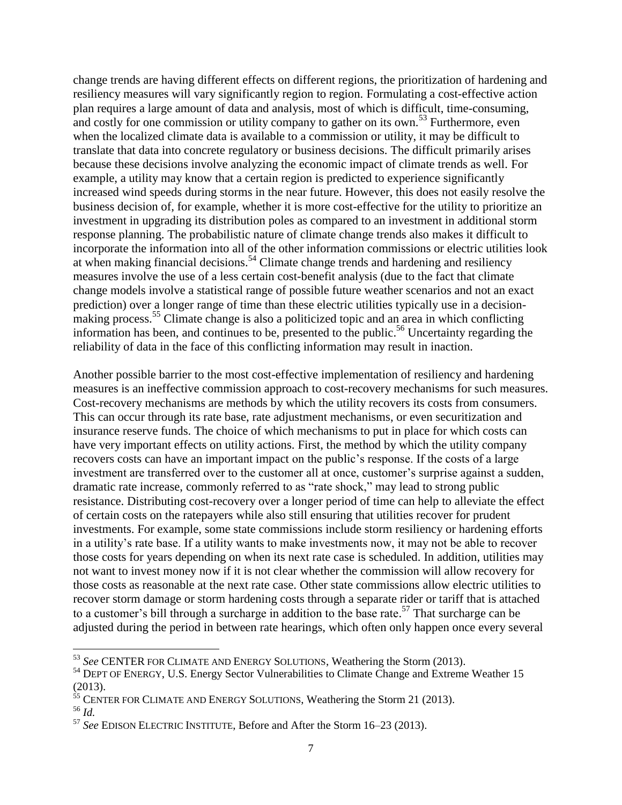change trends are having different effects on different regions, the prioritization of hardening and resiliency measures will vary significantly region to region. Formulating a cost-effective action plan requires a large amount of data and analysis, most of which is difficult, time-consuming, and costly for one commission or utility company to gather on its own.<sup>53</sup> Furthermore, even when the localized climate data is available to a commission or utility, it may be difficult to translate that data into concrete regulatory or business decisions. The difficult primarily arises because these decisions involve analyzing the economic impact of climate trends as well. For example, a utility may know that a certain region is predicted to experience significantly increased wind speeds during storms in the near future. However, this does not easily resolve the business decision of, for example, whether it is more cost-effective for the utility to prioritize an investment in upgrading its distribution poles as compared to an investment in additional storm response planning. The probabilistic nature of climate change trends also makes it difficult to incorporate the information into all of the other information commissions or electric utilities look at when making financial decisions.<sup>54</sup> Climate change trends and hardening and resiliency measures involve the use of a less certain cost-benefit analysis (due to the fact that climate change models involve a statistical range of possible future weather scenarios and not an exact prediction) over a longer range of time than these electric utilities typically use in a decisionmaking process.<sup>55</sup> Climate change is also a politicized topic and an area in which conflicting information has been, and continues to be, presented to the public. <sup>56</sup> Uncertainty regarding the reliability of data in the face of this conflicting information may result in inaction.

Another possible barrier to the most cost-effective implementation of resiliency and hardening measures is an ineffective commission approach to cost-recovery mechanisms for such measures. Cost-recovery mechanisms are methods by which the utility recovers its costs from consumers. This can occur through its rate base, rate adjustment mechanisms, or even securitization and insurance reserve funds. The choice of which mechanisms to put in place for which costs can have very important effects on utility actions. First, the method by which the utility company recovers costs can have an important impact on the public's response. If the costs of a large investment are transferred over to the customer all at once, customer's surprise against a sudden, dramatic rate increase, commonly referred to as "rate shock," may lead to strong public resistance. Distributing cost-recovery over a longer period of time can help to alleviate the effect of certain costs on the ratepayers while also still ensuring that utilities recover for prudent investments. For example, some state commissions include storm resiliency or hardening efforts in a utility's rate base. If a utility wants to make investments now, it may not be able to recover those costs for years depending on when its next rate case is scheduled. In addition, utilities may not want to invest money now if it is not clear whether the commission will allow recovery for those costs as reasonable at the next rate case. Other state commissions allow electric utilities to recover storm damage or storm hardening costs through a separate rider or tariff that is attached to a customer's bill through a surcharge in addition to the base rate. <sup>57</sup> That surcharge can be adjusted during the period in between rate hearings, which often only happen once every several

 $\overline{a}$ 

<sup>53</sup> *See* CENTER FOR CLIMATE AND ENERGY SOLUTIONS, Weathering the Storm (2013).

<sup>&</sup>lt;sup>54</sup> DEPT OF ENERGY, U.S. Energy Sector Vulnerabilities to Climate Change and Extreme Weather 15 (2013).

 $55$  CENTER FOR CLIMATE AND ENERGY SOLUTIONS, Weathering the Storm 21 (2013).

<sup>56</sup> *Id.*

<sup>57</sup> *See* EDISON ELECTRIC INSTITUTE, Before and After the Storm 16–23 (2013).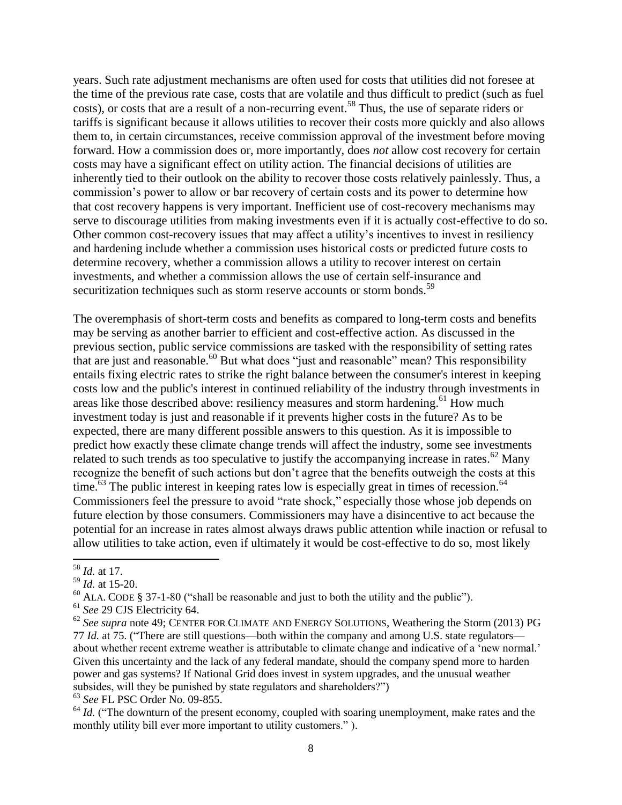years. Such rate adjustment mechanisms are often used for costs that utilities did not foresee at the time of the previous rate case, costs that are volatile and thus difficult to predict (such as fuel costs), or costs that are a result of a non-recurring event.<sup>58</sup> Thus, the use of separate riders or tariffs is significant because it allows utilities to recover their costs more quickly and also allows them to, in certain circumstances, receive commission approval of the investment before moving forward. How a commission does or, more importantly, does *not* allow cost recovery for certain costs may have a significant effect on utility action. The financial decisions of utilities are inherently tied to their outlook on the ability to recover those costs relatively painlessly. Thus, a commission's power to allow or bar recovery of certain costs and its power to determine how that cost recovery happens is very important. Inefficient use of cost-recovery mechanisms may serve to discourage utilities from making investments even if it is actually cost-effective to do so. Other common cost-recovery issues that may affect a utility's incentives to invest in resiliency and hardening include whether a commission uses historical costs or predicted future costs to determine recovery, whether a commission allows a utility to recover interest on certain investments, and whether a commission allows the use of certain self-insurance and securitization techniques such as storm reserve accounts or storm bonds.<sup>59</sup>

The overemphasis of short-term costs and benefits as compared to long-term costs and benefits may be serving as another barrier to efficient and cost-effective action. As discussed in the previous section, public service commissions are tasked with the responsibility of setting rates that are just and reasonable.<sup>60</sup> But what does "just and reasonable" mean? This responsibility entails fixing electric rates to strike the right balance between the consumer's interest in keeping costs low and the public's interest in continued reliability of the industry through investments in areas like those described above: resiliency measures and storm hardening.<sup>61</sup> How much investment today is just and reasonable if it prevents higher costs in the future? As to be expected, there are many different possible answers to this question. As it is impossible to predict how exactly these climate change trends will affect the industry, some see investments related to such trends as too speculative to justify the accompanying increase in rates.<sup>62</sup> Many recognize the benefit of such actions but don't agree that the benefits outweigh the costs at this time.<sup>63</sup> The public interest in keeping rates low is especially great in times of recession.<sup>64</sup> Commissioners feel the pressure to avoid "rate shock," especially those whose job depends on future election by those consumers. Commissioners may have a disincentive to act because the potential for an increase in rates almost always draws public attention while inaction or refusal to allow utilities to take action, even if ultimately it would be cost-effective to do so, most likely

 $^{60}$  ALA. CODE § 37-1-80 ("shall be reasonable and just to both the utility and the public").

<sup>63</sup> *See* FL PSC Order No. 09-855.

 $\overline{\phantom{a}}$ <sup>58</sup> *Id.* at 17.

<sup>59</sup> *Id.* at 15-20.

<sup>61</sup> *See* 29 CJS Electricity 64.

<sup>&</sup>lt;sup>62</sup> See supra note 49; CENTER FOR CLIMATE AND ENERGY SOLUTIONS, Weathering the Storm (2013) PG 77 *Id.* at 75. ("There are still questions—both within the company and among U.S. state regulators about whether recent extreme weather is attributable to climate change and indicative of a 'new normal.' Given this uncertainty and the lack of any federal mandate, should the company spend more to harden power and gas systems? If National Grid does invest in system upgrades, and the unusual weather subsides, will they be punished by state regulators and shareholders?")

 $64$  *Id.* ("The downturn of the present economy, coupled with soaring unemployment, make rates and the monthly utility bill ever more important to utility customers.").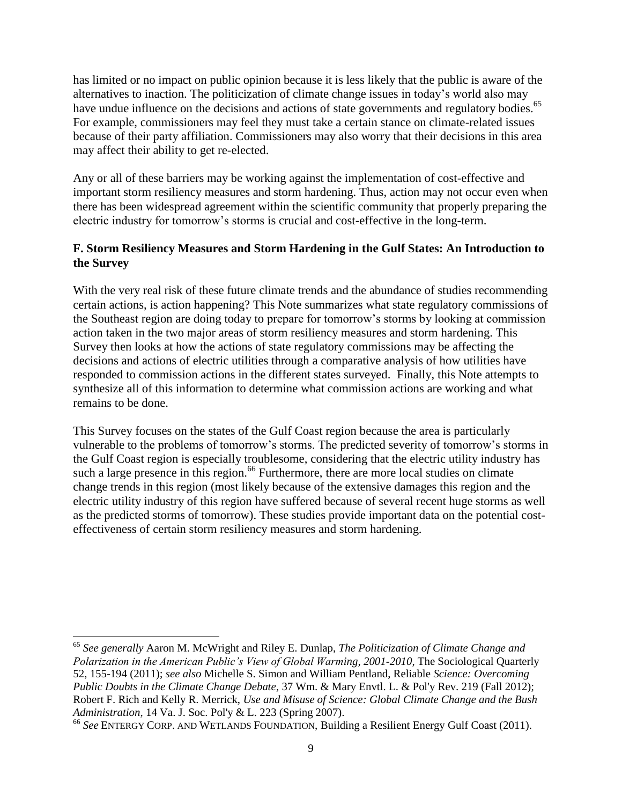has limited or no impact on public opinion because it is less likely that the public is aware of the alternatives to inaction. The politicization of climate change issues in today's world also may have undue influence on the decisions and actions of state governments and regulatory bodies.<sup>65</sup> For example, commissioners may feel they must take a certain stance on climate-related issues because of their party affiliation. Commissioners may also worry that their decisions in this area may affect their ability to get re-elected.

Any or all of these barriers may be working against the implementation of cost-effective and important storm resiliency measures and storm hardening. Thus, action may not occur even when there has been widespread agreement within the scientific community that properly preparing the electric industry for tomorrow's storms is crucial and cost-effective in the long-term.

## **F. Storm Resiliency Measures and Storm Hardening in the Gulf States: An Introduction to the Survey**

With the very real risk of these future climate trends and the abundance of studies recommending certain actions, is action happening? This Note summarizes what state regulatory commissions of the Southeast region are doing today to prepare for tomorrow's storms by looking at commission action taken in the two major areas of storm resiliency measures and storm hardening. This Survey then looks at how the actions of state regulatory commissions may be affecting the decisions and actions of electric utilities through a comparative analysis of how utilities have responded to commission actions in the different states surveyed. Finally, this Note attempts to synthesize all of this information to determine what commission actions are working and what remains to be done.

This Survey focuses on the states of the Gulf Coast region because the area is particularly vulnerable to the problems of tomorrow's storms. The predicted severity of tomorrow's storms in the Gulf Coast region is especially troublesome, considering that the electric utility industry has such a large presence in this region.<sup>66</sup> Furthermore, there are more local studies on climate change trends in this region (most likely because of the extensive damages this region and the electric utility industry of this region have suffered because of several recent huge storms as well as the predicted storms of tomorrow). These studies provide important data on the potential costeffectiveness of certain storm resiliency measures and storm hardening.

 $\overline{a}$ 

<sup>65</sup> *See generally* Aaron M. McWright and Riley E. Dunlap, *The Politicization of Climate Change and Polarization in the American Public's View of Global Warming, 2001-2010*, The Sociological Quarterly 52, 155-194 (2011); *see also* Michelle S. Simon and William Pentland, Reliable *Science: Overcoming Public Doubts in the Climate Change Debate*, 37 Wm. & Mary Envtl. L. & Pol'y Rev. 219 (Fall 2012); Robert F. Rich and Kelly R. Merrick, *Use and Misuse of Science: Global Climate Change and the Bush Administration*, 14 Va. J. Soc. Pol'y & L. 223 (Spring 2007).

<sup>&</sup>lt;sup>66</sup> See ENTERGY CORP. AND WETLANDS FOUNDATION, Building a Resilient Energy Gulf Coast (2011).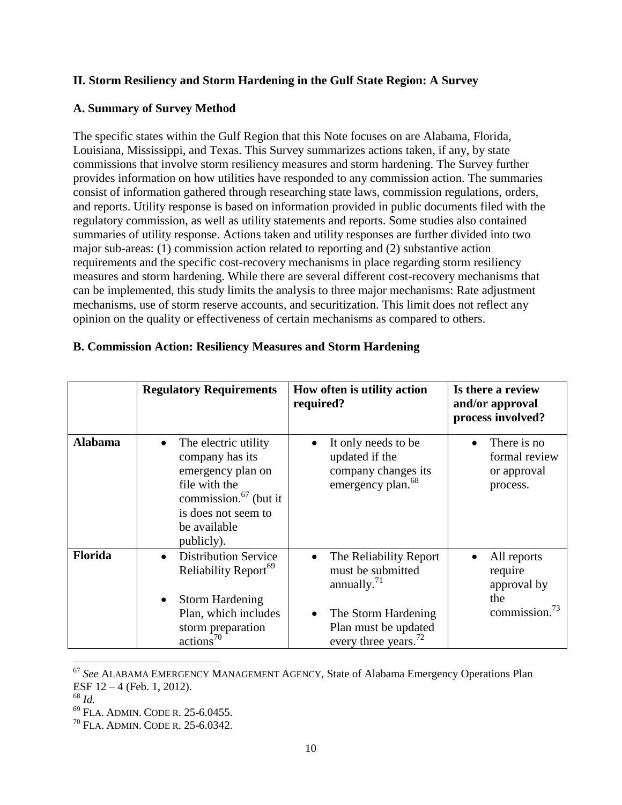## **II. Storm Resiliency and Storm Hardening in the Gulf State Region: A Survey**

## **A. Summary of Survey Method**

The specific states within the Gulf Region that this Note focuses on are Alabama, Florida, Louisiana, Mississippi, and Texas. This Survey summarizes actions taken, if any, by state commissions that involve storm resiliency measures and storm hardening. The Survey further provides information on how utilities have responded to any commission action. The summaries consist of information gathered through researching state laws, commission regulations, orders, and reports. Utility response is based on information provided in public documents filed with the regulatory commission, as well as utility statements and reports. Some studies also contained summaries of utility response. Actions taken and utility responses are further divided into two major sub-areas: (1) commission action related to reporting and (2) substantive action requirements and the specific cost-recovery mechanisms in place regarding storm resiliency measures and storm hardening. While there are several different cost-recovery mechanisms that can be implemented, this study limits the analysis to three major mechanisms: Rate adjustment mechanisms, use of storm reserve accounts, and securitization. This limit does not reflect any opinion on the quality or effectiveness of certain mechanisms as compared to others.

|                | <b>Regulatory Requirements</b>                                                                                                                                              | How often is utility action<br>required?                                                                                                                                | Is there a review<br>and/or approval<br>process involved?                 |
|----------------|-----------------------------------------------------------------------------------------------------------------------------------------------------------------------------|-------------------------------------------------------------------------------------------------------------------------------------------------------------------------|---------------------------------------------------------------------------|
| <b>Alabama</b> | The electric utility<br>$\bullet$<br>company has its<br>emergency plan on<br>file with the<br>commission. $67$ (but it<br>is does not seem to<br>be available<br>publicly). | It only needs to be<br>updated if the<br>company changes its<br>emergency plan. <sup>68</sup>                                                                           | There is no<br>formal review<br>or approval<br>process.                   |
| <b>Florida</b> | <b>Distribution Service</b><br>$\bullet$<br>Reliability Report <sup>69</sup><br><b>Storm Hardening</b><br>٠<br>Plan, which includes<br>storm preparation<br>$\arctan^{70}$  | The Reliability Report<br>$\bullet$<br>must be submitted<br>annually. $^{71}$<br>The Storm Hardening<br>$\bullet$<br>Plan must be updated<br>every three years. $^{72}$ | All reports<br>require<br>approval by<br>the<br>commission. <sup>73</sup> |

#### **B. Commission Action: Resiliency Measures and Storm Hardening**

<sup>67</sup> *See* ALABAMA EMERGENCY MANAGEMENT AGENCY*,* State of Alabama Emergency Operations Plan ESF 12 – 4 (Feb. 1, 2012).

<sup>68</sup> *Id.*

<sup>69</sup> FLA. ADMIN. CODE R. 25-6.0455.

<sup>70</sup> FLA. ADMIN. CODE R. 25-6.0342.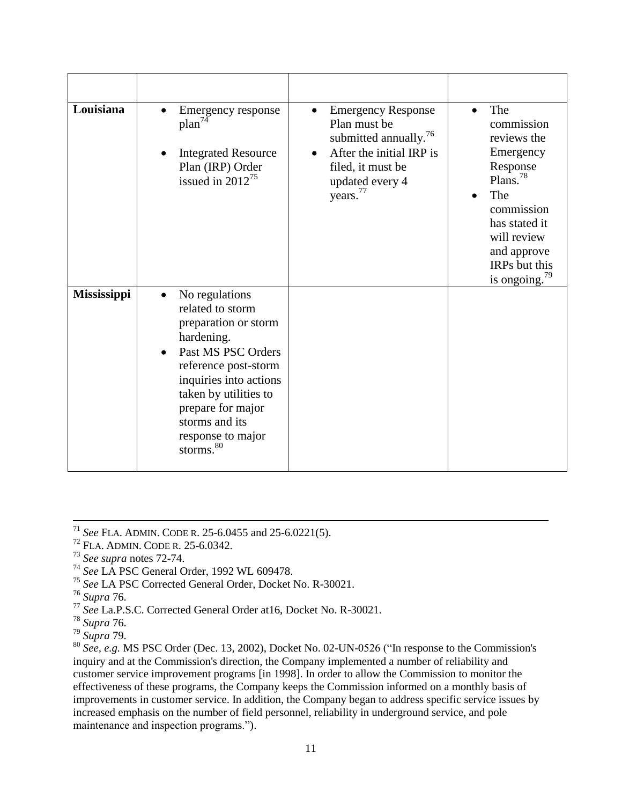| Louisiana   | Emergency response<br>plan <sup>74</sup><br><b>Integrated Resource</b><br>Plan (IRP) Order<br>issued in $2012^{75}$                                                                                                                                                         | <b>Emergency Response</b><br>Plan must be<br>submitted annually. <sup>76</sup><br>After the initial IRP is<br>filed, it must be<br>updated every 4<br>years. <sup>77</sup> | The<br>$\bullet$<br>commission<br>reviews the<br>Emergency<br>Response<br>Plans. $78$<br>The<br>commission<br>has stated it<br>will review<br>and approve<br>IRPs but this<br>is ongoing. $79$ |
|-------------|-----------------------------------------------------------------------------------------------------------------------------------------------------------------------------------------------------------------------------------------------------------------------------|----------------------------------------------------------------------------------------------------------------------------------------------------------------------------|------------------------------------------------------------------------------------------------------------------------------------------------------------------------------------------------|
| Mississippi | No regulations<br>$\bullet$<br>related to storm<br>preparation or storm<br>hardening.<br>Past MS PSC Orders<br>reference post-storm<br>inquiries into actions<br>taken by utilities to<br>prepare for major<br>storms and its<br>response to major<br>storms. <sup>80</sup> |                                                                                                                                                                            |                                                                                                                                                                                                |

 $\overline{\phantom{a}}$ 

<sup>80</sup> *See, e.g.* MS PSC Order (Dec. 13, 2002), Docket No. 02-UN-0526 ("In response to the Commission's inquiry and at the Commission's direction, the Company implemented a number of reliability and customer service improvement programs [in 1998]. In order to allow the Commission to monitor the effectiveness of these programs, the Company keeps the Commission informed on a monthly basis of improvements in customer service. In addition, the Company began to address specific service issues by increased emphasis on the number of field personnel, reliability in underground service, and pole maintenance and inspection programs.").

<sup>71</sup> *See* FLA. ADMIN. CODE R. 25-6.0455 and 25-6.0221(5).

<sup>72</sup> FLA. ADMIN. CODE R. 25-6.0342.

<sup>73</sup> *See supra* notes 72-74.

<sup>74</sup> *See* LA PSC General Order, 1992 WL 609478.

<sup>75</sup> *See* LA PSC Corrected General Order, Docket No. R-30021.

<sup>76</sup> *Supra* 76.

<sup>77</sup> *See* La.P.S.C. Corrected General Order at16, Docket No. R-30021.

<sup>78</sup> *Supra* 76.

<sup>79</sup> *Supra* 79.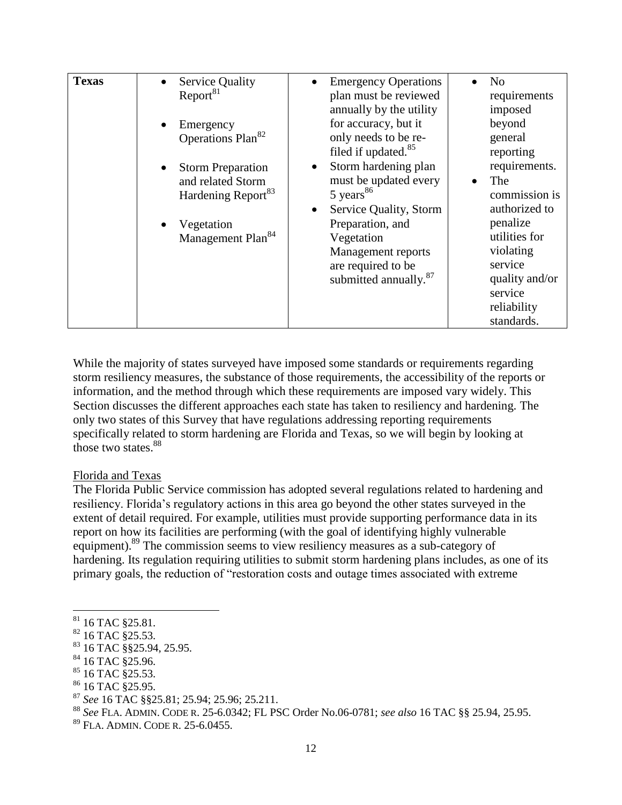| <b>Texas</b> | <b>Service Quality</b><br>$\bullet$<br>Report <sup>81</sup>                                                                    |                            | <b>Emergency Operations</b><br>plan must be reviewed<br>annually by the utility                                                                                              |           | N <sub>o</sub><br>requirements<br>imposed                                                                                                               |
|--------------|--------------------------------------------------------------------------------------------------------------------------------|----------------------------|------------------------------------------------------------------------------------------------------------------------------------------------------------------------------|-----------|---------------------------------------------------------------------------------------------------------------------------------------------------------|
|              | Emergency<br>$\bullet$<br>Operations Plan <sup>82</sup>                                                                        |                            | for accuracy, but it<br>only needs to be re-<br>filed if updated. <sup>85</sup>                                                                                              |           | beyond<br>general<br>reporting                                                                                                                          |
|              | <b>Storm Preparation</b><br>and related Storm<br>Hardening Report <sup>83</sup><br>Vegetation<br>Management Plan <sup>84</sup> | 5 years $86$<br>Vegetation | Storm hardening plan<br>must be updated every<br>Service Quality, Storm<br>Preparation, and<br>Management reports<br>are required to be<br>submitted annually. <sup>87</sup> | $\bullet$ | requirements.<br>The<br>commission is<br>authorized to<br>penalize<br>utilities for<br>violating<br>service<br>quality and/or<br>service<br>reliability |
|              |                                                                                                                                |                            |                                                                                                                                                                              |           | standards.                                                                                                                                              |

While the majority of states surveyed have imposed some standards or requirements regarding storm resiliency measures, the substance of those requirements, the accessibility of the reports or information, and the method through which these requirements are imposed vary widely. This Section discusses the different approaches each state has taken to resiliency and hardening. The only two states of this Survey that have regulations addressing reporting requirements specifically related to storm hardening are Florida and Texas, so we will begin by looking at those two states. 88

#### Florida and Texas

The Florida Public Service commission has adopted several regulations related to hardening and resiliency. Florida's regulatory actions in this area go beyond the other states surveyed in the extent of detail required. For example, utilities must provide supporting performance data in its report on how its facilities are performing (with the goal of identifying highly vulnerable equipment).<sup>89</sup> The commission seems to view resiliency measures as a sub-category of hardening. Its regulation requiring utilities to submit storm hardening plans includes, as one of its primary goals, the reduction of "restoration costs and outage times associated with extreme

 $81$  16 TAC  $\S 25.81$ .

 $82$  16 TAC  $\S$ 25.53.

<sup>83</sup> 16 TAC §§25.94, 25.95.

 $84$  16 TAC §25.96.

<sup>&</sup>lt;sup>85</sup> 16 TAC §25.53.

<sup>&</sup>lt;sup>86</sup> 16 TAC §25.95.

<sup>87</sup> *See* 16 TAC §§25.81; 25.94; 25.96; 25.211.

<sup>88</sup> *See* FLA. ADMIN. CODE R. 25-6.0342; FL PSC Order No.06-0781; *see also* 16 TAC §§ 25.94, 25.95.

<sup>89</sup> FLA. ADMIN. CODE R. 25-6.0455.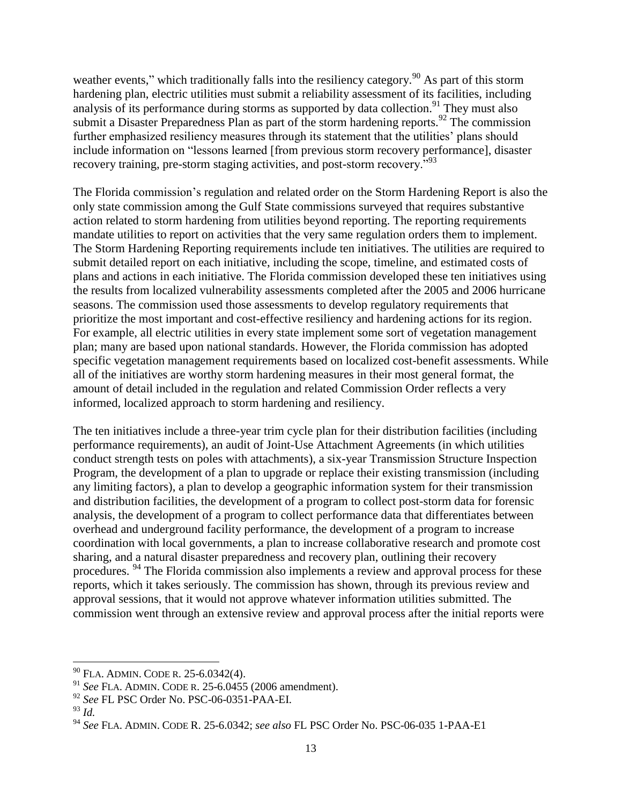weather events," which traditionally falls into the resiliency category.<sup>90</sup> As part of this storm hardening plan, electric utilities must submit a reliability assessment of its facilities, including analysis of its performance during storms as supported by data collection.<sup>91</sup> They must also submit a Disaster Preparedness Plan as part of the storm hardening reports.<sup>92</sup> The commission further emphasized resiliency measures through its statement that the utilities' plans should include information on "lessons learned [from previous storm recovery performance], disaster recovery training, pre-storm staging activities, and post-storm recovery.<sup>"93</sup>

The Florida commission's regulation and related order on the Storm Hardening Report is also the only state commission among the Gulf State commissions surveyed that requires substantive action related to storm hardening from utilities beyond reporting. The reporting requirements mandate utilities to report on activities that the very same regulation orders them to implement. The Storm Hardening Reporting requirements include ten initiatives. The utilities are required to submit detailed report on each initiative, including the scope, timeline, and estimated costs of plans and actions in each initiative. The Florida commission developed these ten initiatives using the results from localized vulnerability assessments completed after the 2005 and 2006 hurricane seasons. The commission used those assessments to develop regulatory requirements that prioritize the most important and cost-effective resiliency and hardening actions for its region. For example, all electric utilities in every state implement some sort of vegetation management plan; many are based upon national standards. However, the Florida commission has adopted specific vegetation management requirements based on localized cost-benefit assessments. While all of the initiatives are worthy storm hardening measures in their most general format, the amount of detail included in the regulation and related Commission Order reflects a very informed, localized approach to storm hardening and resiliency.

The ten initiatives include a three-year trim cycle plan for their distribution facilities (including performance requirements), an audit of Joint-Use Attachment Agreements (in which utilities conduct strength tests on poles with attachments), a six-year Transmission Structure Inspection Program, the development of a plan to upgrade or replace their existing transmission (including any limiting factors), a plan to develop a geographic information system for their transmission and distribution facilities, the development of a program to collect post-storm data for forensic analysis, the development of a program to collect performance data that differentiates between overhead and underground facility performance, the development of a program to increase coordination with local governments, a plan to increase collaborative research and promote cost sharing, and a natural disaster preparedness and recovery plan, outlining their recovery procedures. <sup>94</sup> The Florida commission also implements a review and approval process for these reports, which it takes seriously. The commission has shown, through its previous review and approval sessions, that it would not approve whatever information utilities submitted. The commission went through an extensive review and approval process after the initial reports were

 $90$  FLA. ADMIN. CODE R. 25-6.0342(4).

<sup>91</sup> *See* FLA. ADMIN. CODE R. 25-6.0455 (2006 amendment).

<sup>92</sup> *See* FL PSC Order No. PSC-06-0351-PAA-EI.

<sup>93</sup> *Id.*

<sup>94</sup> *See* FLA. ADMIN. CODE R. 25-6.0342; *see also* FL PSC Order No. PSC-06-035 1-PAA-E1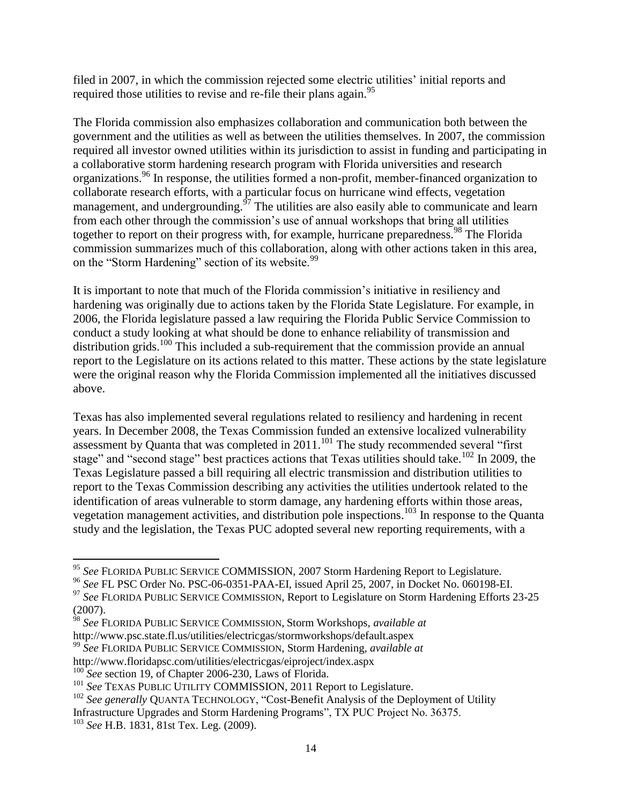filed in 2007, in which the commission rejected some electric utilities' initial reports and required those utilities to revise and re-file their plans again.<sup>95</sup>

The Florida commission also emphasizes collaboration and communication both between the government and the utilities as well as between the utilities themselves. In 2007, the commission required all investor owned utilities within its jurisdiction to assist in funding and participating in a collaborative storm hardening research program with Florida universities and research organizations.<sup>96</sup> In response, the utilities formed a non-profit, member-financed organization to collaborate research efforts, with a particular focus on hurricane wind effects, vegetation management, and undergrounding.<sup>97</sup> The utilities are also easily able to communicate and learn from each other through the commission's use of annual workshops that bring all utilities together to report on their progress with, for example, hurricane preparedness.<sup>98</sup> The Florida commission summarizes much of this collaboration, along with other actions taken in this area, on the "Storm Hardening" section of its website.<sup>99</sup>

It is important to note that much of the Florida commission's initiative in resiliency and hardening was originally due to actions taken by the Florida State Legislature. For example, in 2006, the Florida legislature passed a law requiring the Florida Public Service Commission to conduct a study looking at what should be done to enhance reliability of transmission and distribution grids.<sup>100</sup> This included a sub-requirement that the commission provide an annual report to the Legislature on its actions related to this matter. These actions by the state legislature were the original reason why the Florida Commission implemented all the initiatives discussed above.

Texas has also implemented several regulations related to resiliency and hardening in recent years. In December 2008, the Texas Commission funded an extensive localized vulnerability assessment by Quanta that was completed in  $2011$ .<sup>101</sup> The study recommended several "first" stage" and "second stage" best practices actions that Texas utilities should take.<sup>102</sup> In 2009, the Texas Legislature passed a bill requiring all electric transmission and distribution utilities to report to the Texas Commission describing any activities the utilities undertook related to the identification of areas vulnerable to storm damage, any hardening efforts within those areas, vegetation management activities, and distribution pole inspections.<sup>103</sup> In response to the Quanta study and the legislation, the Texas PUC adopted several new reporting requirements, with a

<sup>95</sup> *See* FLORIDA PUBLIC SERVICE COMMISSION, 2007 Storm Hardening Report to Legislature.

<sup>96</sup> *See* FL PSC Order No. PSC-06-0351-PAA-EI, issued April 25, 2007, in Docket No. 060198-EI.

<sup>&</sup>lt;sup>97</sup> See FLORIDA PUBLIC SERVICE COMMISSION, Report to Legislature on Storm Hardening Efforts 23-25 (2007).

<sup>98</sup> *See* FLORIDA PUBLIC SERVICE COMMISSION, Storm Workshops, *available at* 

http://www.psc.state.fl.us/utilities/electricgas/stormworkshops/default.aspex <sup>99</sup> *See* FLORIDA PUBLIC SERVICE COMMISSION, Storm Hardening, *available at* 

http://www.floridapsc.com/utilities/electricgas/eiproject/index.aspx

<sup>&</sup>lt;sup>100</sup> See section 19, of Chapter 2006-230, Laws of Florida.

<sup>&</sup>lt;sup>101</sup> See TEXAS PUBLIC UTILITY COMMISSION, 2011 Report to Legislature.

<sup>&</sup>lt;sup>102</sup> See generally OUANTA TECHNOLOGY, "Cost-Benefit Analysis of the Deployment of Utility

Infrastructure Upgrades and Storm Hardening Programs", TX PUC Project No. 36375.

<sup>103</sup> *See* H.B. 1831, 81st Tex. Leg. (2009).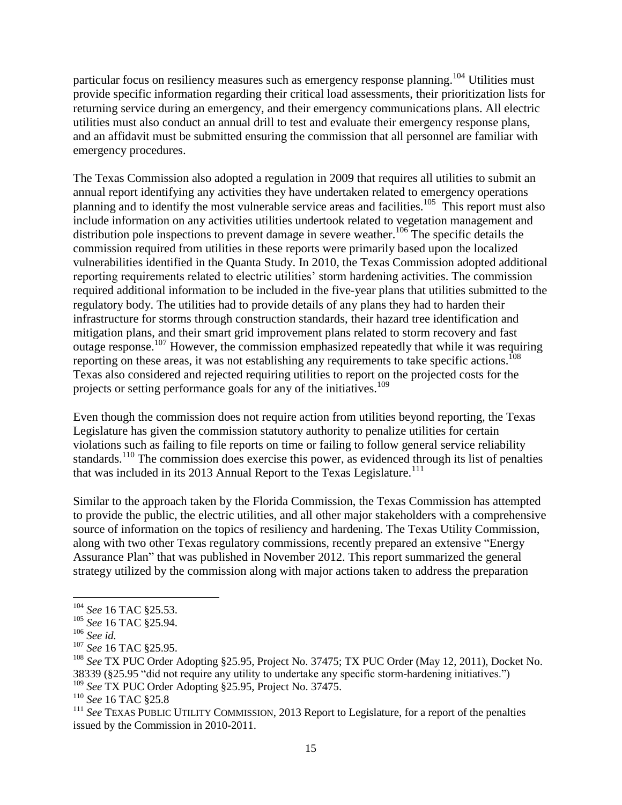particular focus on resiliency measures such as emergency response planning.<sup>104</sup> Utilities must provide specific information regarding their critical load assessments, their prioritization lists for returning service during an emergency, and their emergency communications plans. All electric utilities must also conduct an annual drill to test and evaluate their emergency response plans, and an affidavit must be submitted ensuring the commission that all personnel are familiar with emergency procedures.

The Texas Commission also adopted a regulation in 2009 that requires all utilities to submit an annual report identifying any activities they have undertaken related to emergency operations planning and to identify the most vulnerable service areas and facilities.<sup>105</sup> This report must also include information on any activities utilities undertook related to vegetation management and distribution pole inspections to prevent damage in severe weather.<sup>106</sup> The specific details the commission required from utilities in these reports were primarily based upon the localized vulnerabilities identified in the Quanta Study. In 2010, the Texas Commission adopted additional reporting requirements related to electric utilities' storm hardening activities. The commission required additional information to be included in the five-year plans that utilities submitted to the regulatory body. The utilities had to provide details of any plans they had to harden their infrastructure for storms through construction standards, their hazard tree identification and mitigation plans, and their smart grid improvement plans related to storm recovery and fast outage response.<sup>107</sup> However, the commission emphasized repeatedly that while it was requiring reporting on these areas, it was not establishing any requirements to take specific actions. 108 Texas also considered and rejected requiring utilities to report on the projected costs for the projects or setting performance goals for any of the initiatives.<sup>109</sup>

Even though the commission does not require action from utilities beyond reporting, the Texas Legislature has given the commission statutory authority to penalize utilities for certain violations such as failing to file reports on time or failing to follow general service reliability standards.<sup>110</sup> The commission does exercise this power, as evidenced through its list of penalties that was included in its 2013 Annual Report to the Texas Legislature.<sup>111</sup>

Similar to the approach taken by the Florida Commission, the Texas Commission has attempted to provide the public, the electric utilities, and all other major stakeholders with a comprehensive source of information on the topics of resiliency and hardening. The Texas Utility Commission, along with two other Texas regulatory commissions, recently prepared an extensive "Energy Assurance Plan" that was published in November 2012. This report summarized the general strategy utilized by the commission along with major actions taken to address the preparation

<sup>104</sup> *See* 16 TAC §25.53.

<sup>105</sup> *See* 16 TAC §25.94.

<sup>106</sup> *See id.*

<sup>107</sup> *See* 16 TAC §25.95.

<sup>108</sup> *See* TX PUC Order Adopting §25.95, Project No. 37475; TX PUC Order (May 12, 2011), Docket No. 38339 (§25.95 "did not require any utility to undertake any specific storm-hardening initiatives.")

<sup>&</sup>lt;sup>109</sup> See TX PUC Order Adopting §25.95, Project No. 37475.

<sup>110</sup> *See* 16 TAC §25.8

<sup>&</sup>lt;sup>111</sup> See TEXAS PUBLIC UTILITY COMMISSION, 2013 Report to Legislature, for a report of the penalties issued by the Commission in 2010-2011.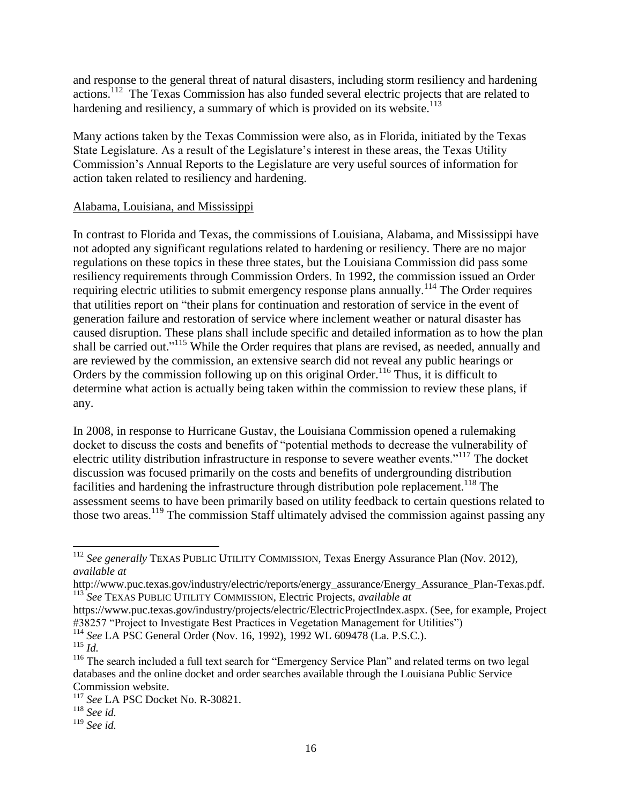and response to the general threat of natural disasters, including storm resiliency and hardening actions.<sup>112</sup> The Texas Commission has also funded several electric projects that are related to hardening and resiliency, a summary of which is provided on its website. $113$ 

Many actions taken by the Texas Commission were also, as in Florida, initiated by the Texas State Legislature. As a result of the Legislature's interest in these areas, the Texas Utility Commission's Annual Reports to the Legislature are very useful sources of information for action taken related to resiliency and hardening.

#### Alabama, Louisiana, and Mississippi

In contrast to Florida and Texas, the commissions of Louisiana, Alabama, and Mississippi have not adopted any significant regulations related to hardening or resiliency. There are no major regulations on these topics in these three states, but the Louisiana Commission did pass some resiliency requirements through Commission Orders. In 1992, the commission issued an Order requiring electric utilities to submit emergency response plans annually.<sup>114</sup> The Order requires that utilities report on "their plans for continuation and restoration of service in the event of generation failure and restoration of service where inclement weather or natural disaster has caused disruption. These plans shall include specific and detailed information as to how the plan shall be carried out."<sup>115</sup> While the Order requires that plans are revised, as needed, annually and are reviewed by the commission, an extensive search did not reveal any public hearings or Orders by the commission following up on this original Order.<sup>116</sup> Thus, it is difficult to determine what action is actually being taken within the commission to review these plans, if any.

In 2008, in response to Hurricane Gustav, the Louisiana Commission opened a rulemaking docket to discuss the costs and benefits of "potential methods to decrease the vulnerability of electric utility distribution infrastructure in response to severe weather events."<sup>117</sup> The docket discussion was focused primarily on the costs and benefits of undergrounding distribution facilities and hardening the infrastructure through distribution pole replacement.<sup>118</sup> The assessment seems to have been primarily based on utility feedback to certain questions related to those two areas.<sup>119</sup> The commission Staff ultimately advised the commission against passing any

<sup>112</sup> *See generally* TEXAS PUBLIC UTILITY COMMISSION, Texas Energy Assurance Plan (Nov. 2012), *available at* 

http://www.puc.texas.gov/industry/electric/reports/energy\_assurance/Energy\_Assurance\_Plan-Texas.pdf. <sup>113</sup> *See* TEXAS PUBLIC UTILITY COMMISSION, Electric Projects, *available at*

https://www.puc.texas.gov/industry/projects/electric/ElectricProjectIndex.aspx. (See, for example, Project #38257 "Project to Investigate Best Practices in Vegetation Management for Utilities")

<sup>114</sup> *See* LA PSC General Order (Nov. 16, 1992), 1992 WL 609478 (La. P.S.C.).

 $^{115}$  *Id.* 

<sup>&</sup>lt;sup>116</sup> The search included a full text search for "Emergency Service Plan" and related terms on two legal databases and the online docket and order searches available through the Louisiana Public Service Commission website.

<sup>117</sup> *See* LA PSC Docket No. R-30821.

<sup>118</sup> *See id.*

<sup>119</sup> *See id.*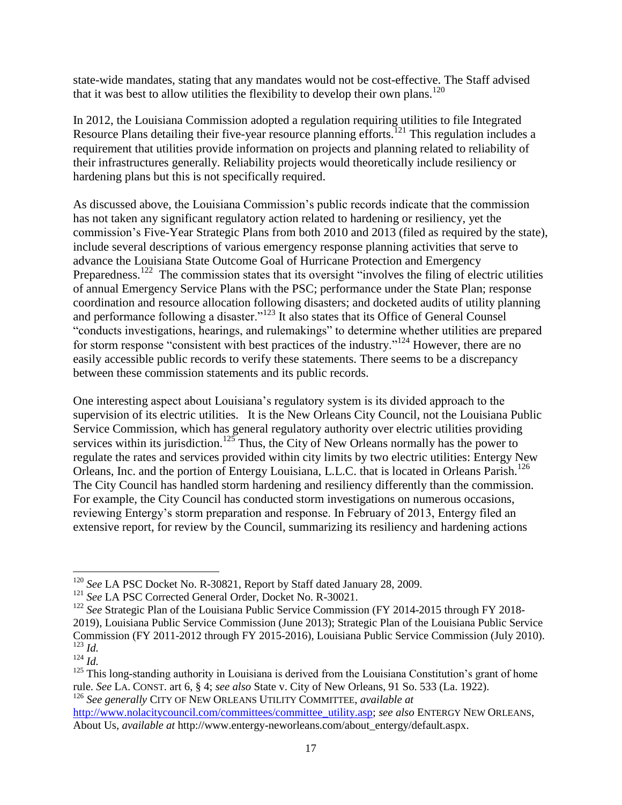state-wide mandates, stating that any mandates would not be cost-effective. The Staff advised that it was best to allow utilities the flexibility to develop their own plans.<sup>120</sup>

In 2012, the Louisiana Commission adopted a regulation requiring utilities to file Integrated Resource Plans detailing their five-year resource planning efforts.<sup>121</sup> This regulation includes a requirement that utilities provide information on projects and planning related to reliability of their infrastructures generally. Reliability projects would theoretically include resiliency or hardening plans but this is not specifically required.

As discussed above, the Louisiana Commission's public records indicate that the commission has not taken any significant regulatory action related to hardening or resiliency, yet the commission's Five-Year Strategic Plans from both 2010 and 2013 (filed as required by the state), include several descriptions of various emergency response planning activities that serve to advance the Louisiana State Outcome Goal of Hurricane Protection and Emergency Preparedness.<sup>122</sup> The commission states that its oversight "involves the filing of electric utilities of annual Emergency Service Plans with the PSC; performance under the State Plan; response coordination and resource allocation following disasters; and docketed audits of utility planning and performance following a disaster."<sup>123</sup> It also states that its Office of General Counsel "conducts investigations, hearings, and rulemakings" to determine whether utilities are prepared for storm response "consistent with best practices of the industry."<sup>124</sup> However, there are no easily accessible public records to verify these statements. There seems to be a discrepancy between these commission statements and its public records.

One interesting aspect about Louisiana's regulatory system is its divided approach to the supervision of its electric utilities. It is the New Orleans City Council, not the Louisiana Public Service Commission, which has general regulatory authority over electric utilities providing services within its jurisdiction.<sup>125</sup> Thus, the City of New Orleans normally has the power to regulate the rates and services provided within city limits by two electric utilities: Entergy New Orleans, Inc. and the portion of Entergy Louisiana, L.L.C. that is located in Orleans Parish.<sup>126</sup> The City Council has handled storm hardening and resiliency differently than the commission. For example, the City Council has conducted storm investigations on numerous occasions, reviewing Entergy's storm preparation and response. In February of 2013, Entergy filed an extensive report, for review by the Council, summarizing its resiliency and hardening actions

l

<sup>120</sup> *See* LA PSC Docket No. R-30821, Report by Staff dated January 28, 2009.

<sup>121</sup> *See* LA PSC Corrected General Order, Docket No. R-30021.

<sup>&</sup>lt;sup>122</sup> See Strategic Plan of the Louisiana Public Service Commission (FY 2014-2015 through FY 2018-2019), Louisiana Public Service Commission (June 2013); Strategic Plan of the Louisiana Public Service Commission (FY 2011-2012 through FY 2015-2016), Louisiana Public Service Commission (July 2010).  $^{123}$  *Id.* 

 $124$  *Id.* 

 $125$  This long-standing authority in Louisiana is derived from the Louisiana Constitution's grant of home rule. *See* LA. CONST. art 6, § 4; *see also* State v. City of New Orleans, 91 So. 533 (La. 1922). <sup>126</sup> *See generally* CITY OF NEW ORLEANS UTILITY COMMITTEE, *available at* 

[http://www.nolacitycouncil.com/committees/committee\\_utility.asp;](http://www.nolacitycouncil.com/committees/committee_utility.asp) *see also* ENTERGY NEW ORLEANS, About Us, *available at* http://www.entergy-neworleans.com/about\_entergy/default.aspx.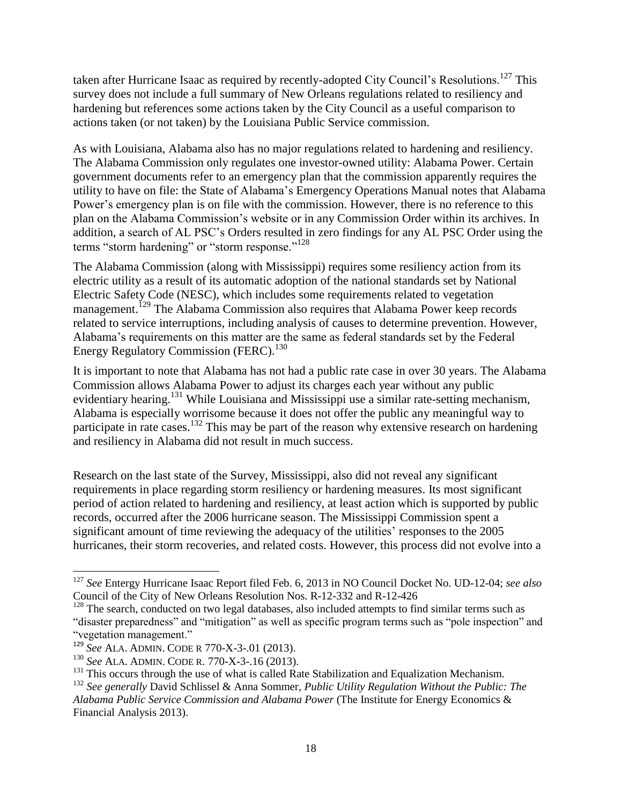taken after Hurricane Isaac as required by recently-adopted City Council's Resolutions.<sup>127</sup> This survey does not include a full summary of New Orleans regulations related to resiliency and hardening but references some actions taken by the City Council as a useful comparison to actions taken (or not taken) by the Louisiana Public Service commission.

As with Louisiana, Alabama also has no major regulations related to hardening and resiliency. The Alabama Commission only regulates one investor-owned utility: Alabama Power. Certain government documents refer to an emergency plan that the commission apparently requires the utility to have on file: the State of Alabama's Emergency Operations Manual notes that Alabama Power's emergency plan is on file with the commission. However, there is no reference to this plan on the Alabama Commission's website or in any Commission Order within its archives. In addition, a search of AL PSC's Orders resulted in zero findings for any AL PSC Order using the terms "storm hardening" or "storm response."<sup>128</sup>

The Alabama Commission (along with Mississippi) requires some resiliency action from its electric utility as a result of its automatic adoption of the national standards set by National Electric Safety Code (NESC), which includes some requirements related to vegetation management.<sup>129</sup> The Alabama Commission also requires that Alabama Power keep records related to service interruptions, including analysis of causes to determine prevention. However, Alabama's requirements on this matter are the same as federal standards set by the Federal Energy Regulatory Commission (FERC).<sup>130</sup>

It is important to note that Alabama has not had a public rate case in over 30 years. The Alabama Commission allows Alabama Power to adjust its charges each year without any public evidentiary hearing.<sup>131</sup> While Louisiana and Mississippi use a similar rate-setting mechanism, Alabama is especially worrisome because it does not offer the public any meaningful way to participate in rate cases.<sup>132</sup> This may be part of the reason why extensive research on hardening and resiliency in Alabama did not result in much success.

Research on the last state of the Survey, Mississippi, also did not reveal any significant requirements in place regarding storm resiliency or hardening measures. Its most significant period of action related to hardening and resiliency, at least action which is supported by public records, occurred after the 2006 hurricane season. The Mississippi Commission spent a significant amount of time reviewing the adequacy of the utilities' responses to the 2005 hurricanes, their storm recoveries, and related costs. However, this process did not evolve into a

<sup>127</sup> *See* Entergy Hurricane Isaac Report filed Feb. 6, 2013 in NO Council Docket No. UD-12-04; *see also*  Council of the City of New Orleans Resolution Nos. R-12-332 and R-12-426

<sup>&</sup>lt;sup>128</sup> The search, conducted on two legal databases, also included attempts to find similar terms such as "disaster preparedness" and "mitigation" as well as specific program terms such as "pole inspection" and "vegetation management."

<sup>129</sup> *See* ALA. ADMIN. CODE R 770-X-3-.01 (2013).

<sup>130</sup> *See* ALA. ADMIN. CODE R. 770-X-3-.16 (2013).

<sup>&</sup>lt;sup>131</sup> This occurs through the use of what is called Rate Stabilization and Equalization Mechanism.

<sup>132</sup> *See generally* David Schlissel & Anna Sommer, *Public Utility Regulation Without the Public: The Alabama Public Service Commission and Alabama Power* (The Institute for Energy Economics & Financial Analysis 2013).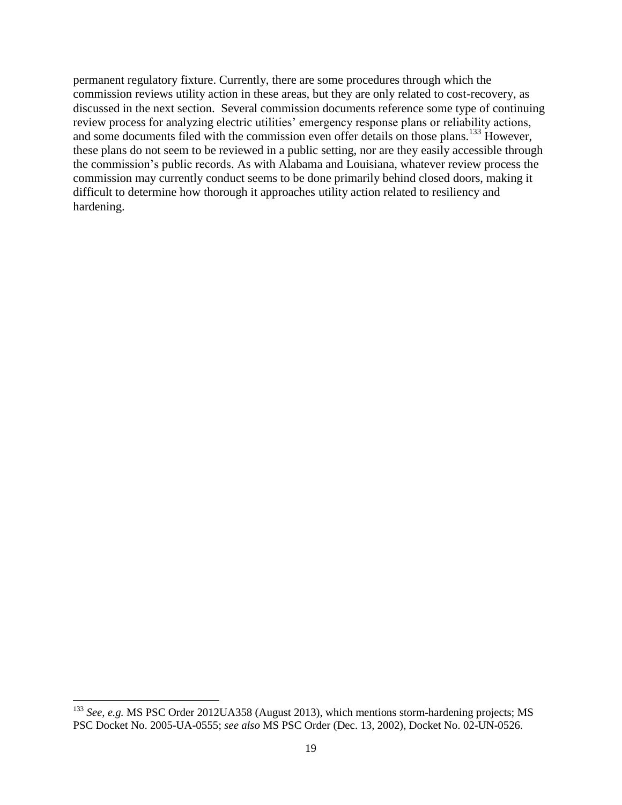permanent regulatory fixture. Currently, there are some procedures through which the commission reviews utility action in these areas, but they are only related to cost-recovery, as discussed in the next section. Several commission documents reference some type of continuing review process for analyzing electric utilities' emergency response plans or reliability actions, and some documents filed with the commission even offer details on those plans.<sup>133</sup> However, these plans do not seem to be reviewed in a public setting, nor are they easily accessible through the commission's public records. As with Alabama and Louisiana, whatever review process the commission may currently conduct seems to be done primarily behind closed doors, making it difficult to determine how thorough it approaches utility action related to resiliency and hardening.

<sup>133</sup> *See, e.g.* MS PSC Order 2012UA358 (August 2013), which mentions storm-hardening projects; MS PSC Docket No. 2005-UA-0555; *see also* MS PSC Order (Dec. 13, 2002), Docket No. 02-UN-0526.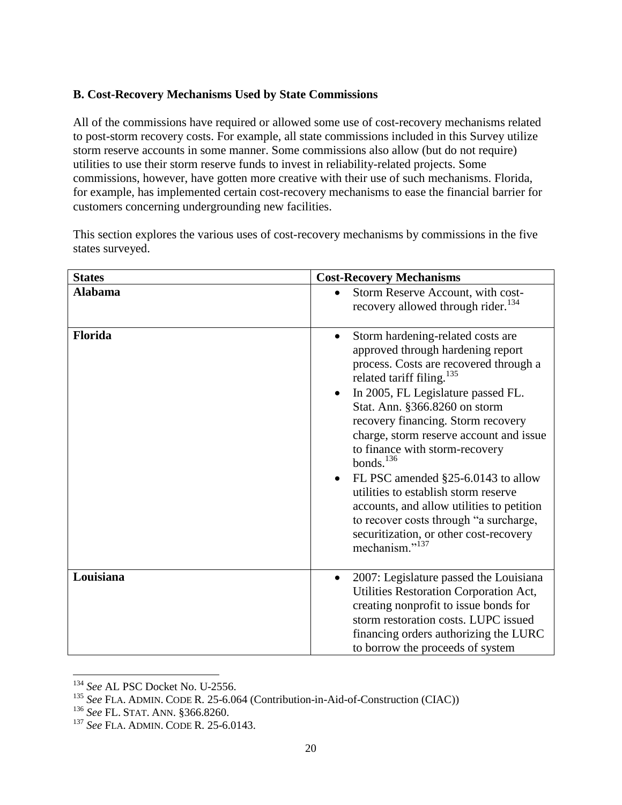## **B. Cost-Recovery Mechanisms Used by State Commissions**

All of the commissions have required or allowed some use of cost-recovery mechanisms related to post-storm recovery costs. For example, all state commissions included in this Survey utilize storm reserve accounts in some manner. Some commissions also allow (but do not require) utilities to use their storm reserve funds to invest in reliability-related projects. Some commissions, however, have gotten more creative with their use of such mechanisms. Florida, for example, has implemented certain cost-recovery mechanisms to ease the financial barrier for customers concerning undergrounding new facilities.

This section explores the various uses of cost-recovery mechanisms by commissions in the five states surveyed.

| <b>States</b>  | <b>Cost-Recovery Mechanisms</b>                                                                                                                                                                                                                                                                                                                                                                                                                                                                                                                                                                                                               |
|----------------|-----------------------------------------------------------------------------------------------------------------------------------------------------------------------------------------------------------------------------------------------------------------------------------------------------------------------------------------------------------------------------------------------------------------------------------------------------------------------------------------------------------------------------------------------------------------------------------------------------------------------------------------------|
| <b>Alabama</b> | Storm Reserve Account, with cost-<br>$\bullet$<br>recovery allowed through rider. <sup>134</sup>                                                                                                                                                                                                                                                                                                                                                                                                                                                                                                                                              |
| Florida        | Storm hardening-related costs are<br>$\bullet$<br>approved through hardening report<br>process. Costs are recovered through a<br>related tariff filing. <sup>135</sup><br>In 2005, FL Legislature passed FL.<br>Stat. Ann. §366.8260 on storm<br>recovery financing. Storm recovery<br>charge, storm reserve account and issue<br>to finance with storm-recovery<br>bonds. $^{136}$<br>FL PSC amended §25-6.0143 to allow<br>$\bullet$<br>utilities to establish storm reserve<br>accounts, and allow utilities to petition<br>to recover costs through "a surcharge,<br>securitization, or other cost-recovery<br>mechanism." <sup>137</sup> |
| Louisiana      | 2007: Legislature passed the Louisiana<br>$\bullet$<br>Utilities Restoration Corporation Act,<br>creating nonprofit to issue bonds for<br>storm restoration costs. LUPC issued<br>financing orders authorizing the LURC<br>to borrow the proceeds of system                                                                                                                                                                                                                                                                                                                                                                                   |

l <sup>134</sup> *See* AL PSC Docket No. U-2556.

<sup>&</sup>lt;sup>135</sup> *See FLA. ADMIN. CODE R. 25-6.064* (Contribution-in-Aid-of-Construction (CIAC))

<sup>136</sup> *See* FL. STAT. ANN. §366.8260.

<sup>137</sup> *See* FLA. ADMIN. CODE R. 25-6.0143.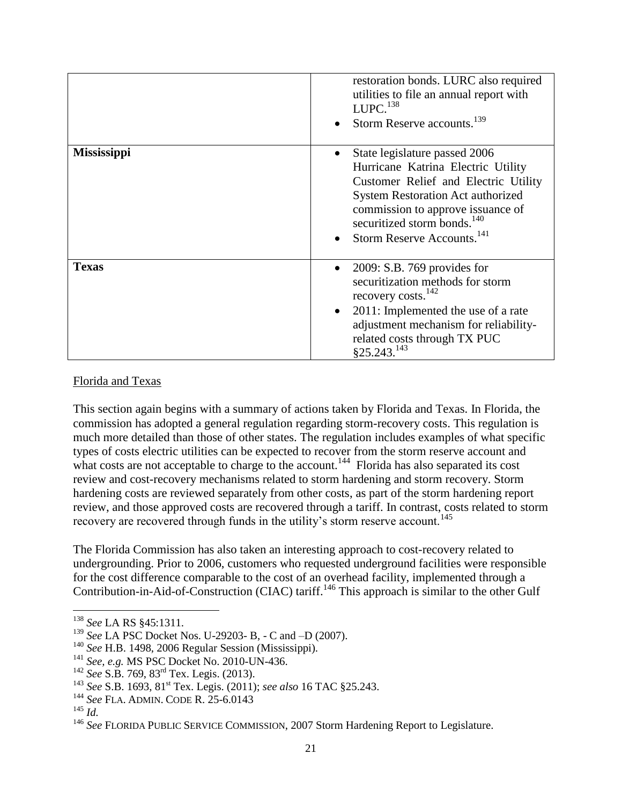|                    | restoration bonds. LURC also required<br>utilities to file an annual report with<br>LUPC. <sup>138</sup><br>Storm Reserve accounts. <sup>139</sup>                                                                                                                                |
|--------------------|-----------------------------------------------------------------------------------------------------------------------------------------------------------------------------------------------------------------------------------------------------------------------------------|
| <b>Mississippi</b> | State legislature passed 2006<br>Hurricane Katrina Electric Utility<br>Customer Relief and Electric Utility<br><b>System Restoration Act authorized</b><br>commission to approve issuance of<br>securitized storm bonds. <sup>140</sup><br>Storm Reserve Accounts. <sup>141</sup> |
| <b>Texas</b>       | $2009$ : S.B. 769 provides for<br>securitization methods for storm<br>recovery costs. <sup>142</sup><br>2011: Implemented the use of a rate<br>$\bullet$<br>adjustment mechanism for reliability-<br>related costs through TX PUC<br>§25.243.143                                  |

#### Florida and Texas

This section again begins with a summary of actions taken by Florida and Texas. In Florida, the commission has adopted a general regulation regarding storm-recovery costs. This regulation is much more detailed than those of other states. The regulation includes examples of what specific types of costs electric utilities can be expected to recover from the storm reserve account and what costs are not acceptable to charge to the account.<sup>144</sup> Florida has also separated its cost review and cost-recovery mechanisms related to storm hardening and storm recovery. Storm hardening costs are reviewed separately from other costs, as part of the storm hardening report review, and those approved costs are recovered through a tariff. In contrast, costs related to storm recovery are recovered through funds in the utility's storm reserve account.<sup>145</sup>

The Florida Commission has also taken an interesting approach to cost-recovery related to undergrounding. Prior to 2006, customers who requested underground facilities were responsible for the cost difference comparable to the cost of an overhead facility, implemented through a Contribution-in-Aid-of-Construction (CIAC) tariff.<sup>146</sup> This approach is similar to the other Gulf

<sup>138</sup> *See* LA RS §45:1311.

<sup>139</sup> *See* LA PSC Docket Nos. U-29203- B, - C and –D (2007).

<sup>140</sup> *See* H.B. 1498, 2006 Regular Session (Mississippi).

<sup>141</sup> *See, e.g.* MS PSC Docket No. 2010-UN-436.

<sup>142</sup> *See* S.B. 769, 83rd Tex. Legis. (2013).

<sup>&</sup>lt;sup>143</sup> *See S.B. 1693*, 81<sup>st</sup> Tex. Legis. (2011); *see also* 16 TAC §25.243.

<sup>144</sup> *See* FLA. ADMIN. CODE R. 25-6.0143

<sup>145</sup> *Id.*

<sup>&</sup>lt;sup>146</sup> See FLORIDA PUBLIC SERVICE COMMISSION, 2007 Storm Hardening Report to Legislature.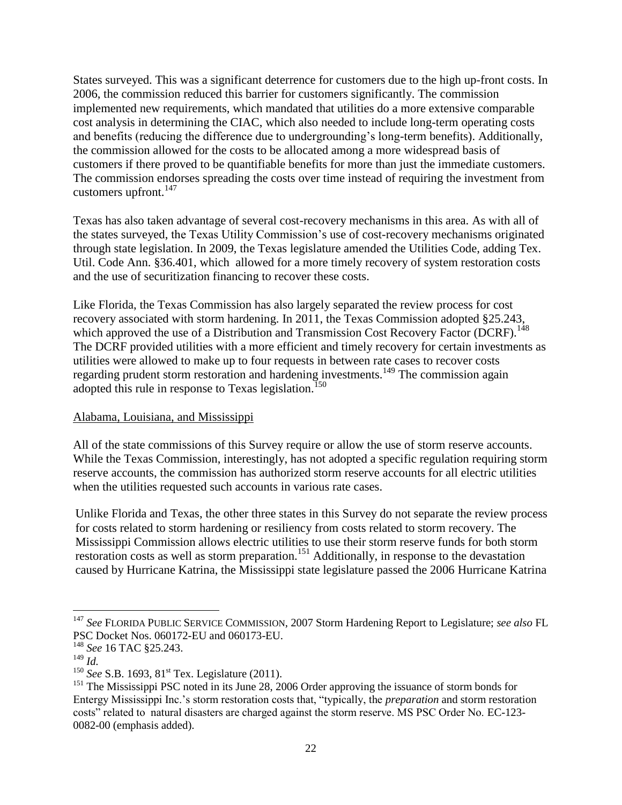States surveyed. This was a significant deterrence for customers due to the high up-front costs. In 2006, the commission reduced this barrier for customers significantly. The commission implemented new requirements, which mandated that utilities do a more extensive comparable cost analysis in determining the CIAC, which also needed to include long-term operating costs and benefits (reducing the difference due to undergrounding's long-term benefits). Additionally, the commission allowed for the costs to be allocated among a more widespread basis of customers if there proved to be quantifiable benefits for more than just the immediate customers. The commission endorses spreading the costs over time instead of requiring the investment from customers upfront.<sup>147</sup>

Texas has also taken advantage of several cost-recovery mechanisms in this area. As with all of the states surveyed, the Texas Utility Commission's use of cost-recovery mechanisms originated through state legislation. In 2009, the Texas legislature amended the Utilities Code, adding Tex. Util. Code Ann. §36.401, which allowed for a more timely recovery of system restoration costs and the use of securitization financing to recover these costs.

Like Florida, the Texas Commission has also largely separated the review process for cost recovery associated with storm hardening. In 2011, the Texas Commission adopted §25.243, which approved the use of a Distribution and Transmission Cost Recovery Factor (DCRF).<sup>148</sup> The DCRF provided utilities with a more efficient and timely recovery for certain investments as utilities were allowed to make up to four requests in between rate cases to recover costs regarding prudent storm restoration and hardening investments.<sup>149</sup> The commission again adopted this rule in response to Texas legislation.<sup>150</sup>

## Alabama, Louisiana, and Mississippi

All of the state commissions of this Survey require or allow the use of storm reserve accounts. While the Texas Commission, interestingly, has not adopted a specific regulation requiring storm reserve accounts, the commission has authorized storm reserve accounts for all electric utilities when the utilities requested such accounts in various rate cases.

Unlike Florida and Texas, the other three states in this Survey do not separate the review process for costs related to storm hardening or resiliency from costs related to storm recovery. The Mississippi Commission allows electric utilities to use their storm reserve funds for both storm restoration costs as well as storm preparation.<sup>151</sup> Additionally, in response to the devastation caused by Hurricane Katrina, the Mississippi state legislature passed the 2006 Hurricane Katrina

<sup>147</sup> *See* FLORIDA PUBLIC SERVICE COMMISSION, 2007 Storm Hardening Report to Legislature; *see also* FL PSC Docket Nos. 060172-EU and 060173-EU.

<sup>148</sup> *See* 16 TAC §25.243.

<sup>149</sup> *Id.*

<sup>&</sup>lt;sup>150</sup> *See* S.B. 1693, 81<sup>st</sup> Tex. Legislature (2011).

<sup>&</sup>lt;sup>151</sup> The Mississippi PSC noted in its June 28, 2006 Order approving the issuance of storm bonds for Entergy Mississippi Inc.'s storm restoration costs that, "typically, the *preparation* and storm restoration costs" related to natural disasters are charged against the storm reserve. MS PSC Order No. EC-123- 0082-00 (emphasis added).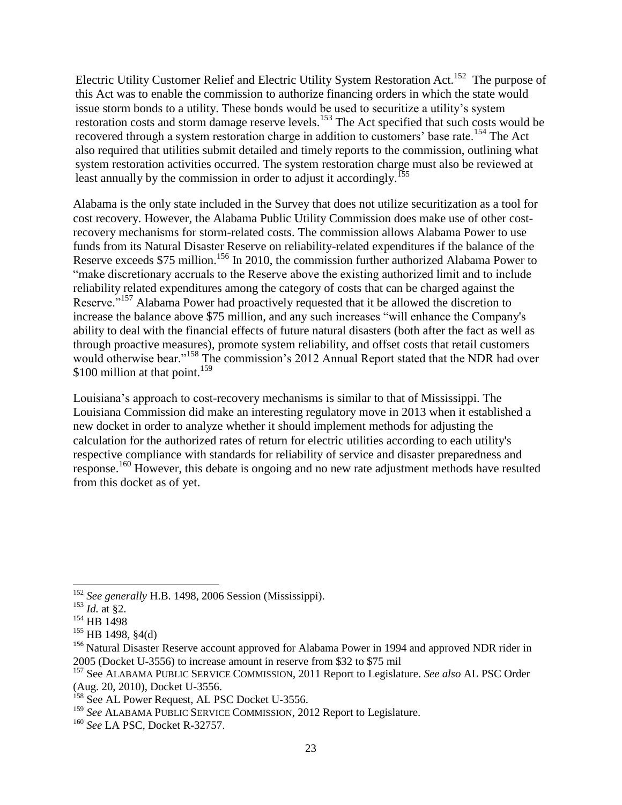Electric Utility Customer Relief and Electric Utility System Restoration Act.<sup>152</sup> The purpose of this Act was to enable the commission to authorize financing orders in which the state would issue storm bonds to a utility. These bonds would be used to securitize a utility's system restoration costs and storm damage reserve levels.<sup>153</sup> The Act specified that such costs would be recovered through a system restoration charge in addition to customers' base rate.<sup>154</sup> The Act also required that utilities submit detailed and timely reports to the commission, outlining what system restoration activities occurred. The system restoration charge must also be reviewed at least annually by the commission in order to adjust it accordingly.<sup>155</sup>

Alabama is the only state included in the Survey that does not utilize securitization as a tool for cost recovery. However, the Alabama Public Utility Commission does make use of other costrecovery mechanisms for storm-related costs. The commission allows Alabama Power to use funds from its Natural Disaster Reserve on reliability-related expenditures if the balance of the Reserve exceeds \$75 million.<sup>156</sup> In 2010, the commission further authorized Alabama Power to "make discretionary accruals to the Reserve above the existing authorized limit and to include reliability related expenditures among the category of costs that can be charged against the Reserve."<sup>157</sup> Alabama Power had proactively requested that it be allowed the discretion to increase the balance above \$75 million, and any such increases "will enhance the Company's ability to deal with the financial effects of future natural disasters (both after the fact as well as through proactive measures), promote system reliability, and offset costs that retail customers would otherwise bear."<sup>158</sup> The commission's 2012 Annual Report stated that the NDR had over \$100 million at that point.<sup>159</sup>

Louisiana's approach to cost-recovery mechanisms is similar to that of Mississippi. The Louisiana Commission did make an interesting regulatory move in 2013 when it established a new docket in order to analyze whether it should implement methods for adjusting the calculation for the authorized rates of return for electric utilities according to each utility's respective compliance with standards for reliability of service and disaster preparedness and response.<sup>160</sup> However, this debate is ongoing and no new rate adjustment methods have resulted from this docket as of yet.

 $\overline{a}$ 

<sup>152</sup> *See generally* H.B. 1498, 2006 Session (Mississippi).

 $^{153}$  *Id.* at §2.

<sup>&</sup>lt;sup>154</sup> HB 1498

<sup>155</sup> HB 1498, §4(d)

<sup>&</sup>lt;sup>156</sup> Natural Disaster Reserve account approved for Alabama Power in 1994 and approved NDR rider in 2005 (Docket U-3556) to increase amount in reserve from \$32 to \$75 mil

<sup>157</sup> See ALABAMA PUBLIC SERVICE COMMISSION, 2011 Report to Legislature. *See also* AL PSC Order (Aug. 20, 2010), Docket U-3556.

<sup>&</sup>lt;sup>158</sup> See AL Power Request, AL PSC Docket U-3556.

<sup>159</sup> *See* ALABAMA PUBLIC SERVICE COMMISSION, 2012 Report to Legislature.

<sup>160</sup> *See* LA PSC, Docket R-32757.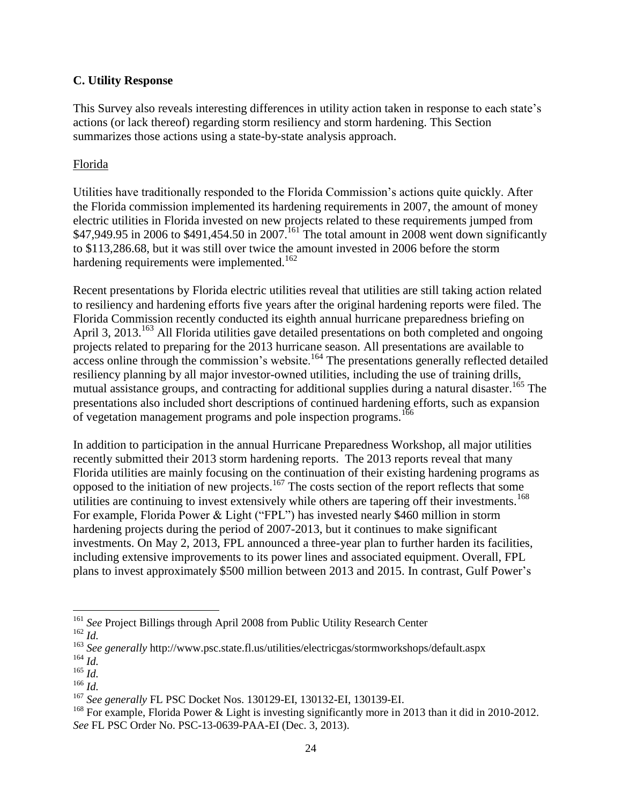#### **C. Utility Response**

This Survey also reveals interesting differences in utility action taken in response to each state's actions (or lack thereof) regarding storm resiliency and storm hardening. This Section summarizes those actions using a state-by-state analysis approach.

#### Florida

Utilities have traditionally responded to the Florida Commission's actions quite quickly. After the Florida commission implemented its hardening requirements in 2007, the amount of money electric utilities in Florida invested on new projects related to these requirements jumped from \$47,949.95 in 2006 to \$491,454.50 in 2007.<sup>161</sup> The total amount in 2008 went down significantly to \$113,286.68, but it was still over twice the amount invested in 2006 before the storm hardening requirements were implemented.<sup>162</sup>

Recent presentations by Florida electric utilities reveal that utilities are still taking action related to resiliency and hardening efforts five years after the original hardening reports were filed. The Florida Commission recently conducted its eighth annual hurricane preparedness briefing on April 3, 2013.<sup>163</sup> All Florida utilities gave detailed presentations on both completed and ongoing projects related to preparing for the 2013 hurricane season. All presentations are available to  $\frac{1}{2}$  access online through the commission's website.<sup>164</sup> The presentations generally reflected detailed resiliency planning by all major investor-owned utilities, including the use of training drills, mutual assistance groups, and contracting for additional supplies during a natural disaster.<sup>165</sup> The presentations also included short descriptions of continued hardening efforts, such as expansion of vegetation management programs and pole inspection programs.<sup>166</sup>

In addition to participation in the annual Hurricane Preparedness Workshop, all major utilities recently submitted their 2013 storm hardening reports. The 2013 reports reveal that many Florida utilities are mainly focusing on the continuation of their existing hardening programs as opposed to the initiation of new projects. <sup>167</sup> The costs section of the report reflects that some utilities are continuing to invest extensively while others are tapering off their investments.<sup>168</sup> For example, Florida Power & Light ("FPL") has invested nearly \$460 million in storm hardening projects during the period of 2007-2013, but it continues to make significant investments. On May 2, 2013, FPL announced a three-year plan to further harden its facilities, including extensive improvements to its power lines and associated equipment. Overall, FPL plans to invest approximately \$500 million between 2013 and 2015. In contrast, Gulf Power's

<sup>161</sup> *See* Project Billings through April 2008 from Public Utility Research Center

<sup>162</sup> *Id.* 

<sup>163</sup> *See generally* http://www.psc.state.fl.us/utilities/electricgas/stormworkshops/default.aspx

<sup>164</sup> *Id.*

<sup>165</sup> *Id.* 

<sup>166</sup> *Id.* 

<sup>167</sup> *See generally* FL PSC Docket Nos. 130129-EI, 130132-EI, 130139-EI.

<sup>&</sup>lt;sup>168</sup> For example, Florida Power & Light is investing significantly more in 2013 than it did in 2010-2012. *See* FL PSC Order No. PSC-13-0639-PAA-EI (Dec. 3, 2013).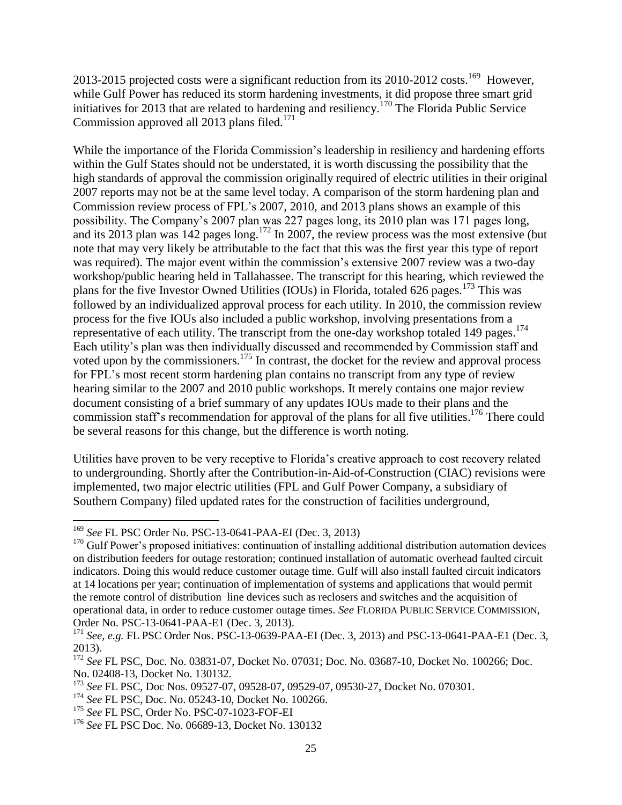2013-2015 projected costs were a significant reduction from its 2010-2012 costs.<sup>169</sup> However, while Gulf Power has reduced its storm hardening investments, it did propose three smart grid initiatives for 2013 that are related to hardening and resiliency. <sup>170</sup> The Florida Public Service Commission approved all 2013 plans filed.<sup>171</sup>

While the importance of the Florida Commission's leadership in resiliency and hardening efforts within the Gulf States should not be understated, it is worth discussing the possibility that the high standards of approval the commission originally required of electric utilities in their original 2007 reports may not be at the same level today. A comparison of the storm hardening plan and Commission review process of FPL's 2007, 2010, and 2013 plans shows an example of this possibility. The Company's 2007 plan was 227 pages long, its 2010 plan was 171 pages long, and its 2013 plan was 142 pages long.<sup>172</sup> In 2007, the review process was the most extensive (but note that may very likely be attributable to the fact that this was the first year this type of report was required). The major event within the commission's extensive 2007 review was a two-day workshop/public hearing held in Tallahassee. The transcript for this hearing, which reviewed the plans for the five Investor Owned Utilities (IOUs) in Florida, totaled 626 pages.<sup>173</sup> This was followed by an individualized approval process for each utility. In 2010, the commission review process for the five IOUs also included a public workshop, involving presentations from a representative of each utility. The transcript from the one-day workshop totaled 149 pages.<sup>174</sup> Each utility's plan was then individually discussed and recommended by Commission staff and voted upon by the commissioners.<sup>175</sup> In contrast, the docket for the review and approval process for FPL's most recent storm hardening plan contains no transcript from any type of review hearing similar to the 2007 and 2010 public workshops. It merely contains one major review document consisting of a brief summary of any updates IOUs made to their plans and the commission staff's recommendation for approval of the plans for all five utilities.<sup>176</sup> There could be several reasons for this change, but the difference is worth noting.

Utilities have proven to be very receptive to Florida's creative approach to cost recovery related to undergrounding. Shortly after the Contribution-in-Aid-of-Construction (CIAC) revisions were implemented, two major electric utilities (FPL and Gulf Power Company, a subsidiary of Southern Company) filed updated rates for the construction of facilities underground,

<sup>169</sup> *See* FL PSC Order No. PSC-13-0641-PAA-EI (Dec. 3, 2013)

 $170$  Gulf Power's proposed initiatives: continuation of installing additional distribution automation devices on distribution feeders for outage restoration; continued installation of automatic overhead faulted circuit indicators. Doing this would reduce customer outage time. Gulf will also install faulted circuit indicators at 14 locations per year; continuation of implementation of systems and applications that would permit the remote control of distribution line devices such as reclosers and switches and the acquisition of operational data, in order to reduce customer outage times. *See* FLORIDA PUBLIC SERVICE COMMISSION, Order No. PSC-13-0641-PAA-E1 (Dec. 3, 2013).

<sup>171</sup> *See, e.g.* FL PSC Order Nos. PSC-13-0639-PAA-EI (Dec. 3, 2013) and PSC-13-0641-PAA-E1 (Dec. 3, 2013).

<sup>172</sup> *See* FL PSC, Doc. No. 03831-07, Docket No. 07031; Doc. No. 03687-10, Docket No. 100266; Doc. No. 02408-13, Docket No. 130132.

<sup>173</sup> *See* FL PSC, Doc Nos. 09527-07, 09528-07, 09529-07, 09530-27, Docket No. 070301.

<sup>174</sup> *See* FL PSC, Doc. No. 05243-10, Docket No. 100266.

<sup>175</sup> *See* FL PSC, Order No. PSC-07-1023-FOF-EI

<sup>176</sup> *See* FL PSC Doc. No. 06689-13, Docket No. 130132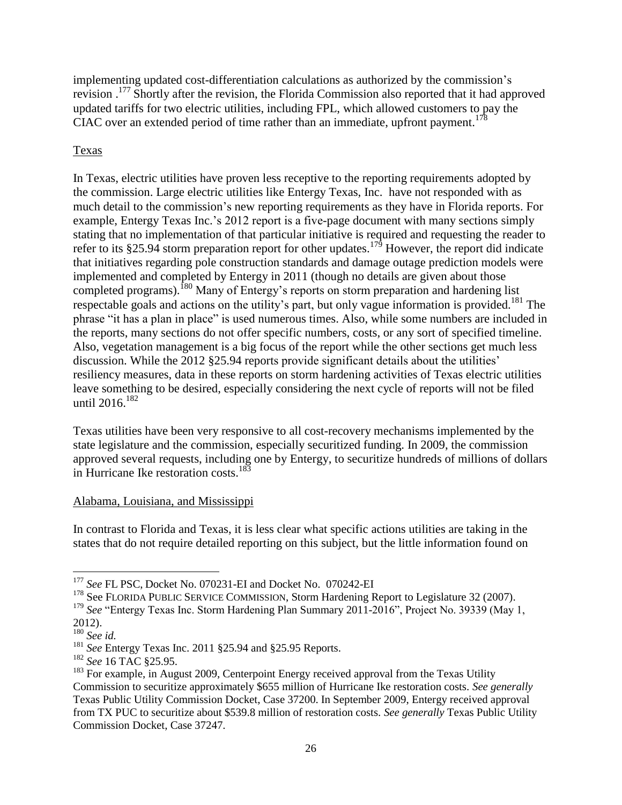implementing updated cost-differentiation calculations as authorized by the commission's revision .<sup>177</sup> Shortly after the revision, the Florida Commission also reported that it had approved updated tariffs for two electric utilities, including FPL, which allowed customers to pay the CIAC over an extended period of time rather than an immediate, upfront payment.<sup>178</sup>

## Texas

In Texas, electric utilities have proven less receptive to the reporting requirements adopted by the commission. Large electric utilities like Entergy Texas, Inc. have not responded with as much detail to the commission's new reporting requirements as they have in Florida reports. For example, Entergy Texas Inc.'s 2012 report is a five-page document with many sections simply stating that no implementation of that particular initiative is required and requesting the reader to refer to its §25.94 storm preparation report for other updates.<sup>179</sup> However, the report did indicate that initiatives regarding pole construction standards and damage outage prediction models were implemented and completed by Entergy in 2011 (though no details are given about those completed programs).<sup>180</sup> Many of Entergy's reports on storm preparation and hardening list respectable goals and actions on the utility's part, but only vague information is provided.<sup>181</sup> The phrase "it has a plan in place" is used numerous times. Also, while some numbers are included in the reports, many sections do not offer specific numbers, costs, or any sort of specified timeline. Also, vegetation management is a big focus of the report while the other sections get much less discussion. While the 2012 §25.94 reports provide significant details about the utilities' resiliency measures, data in these reports on storm hardening activities of Texas electric utilities leave something to be desired, especially considering the next cycle of reports will not be filed until  $2016$ <sup>182</sup>

Texas utilities have been very responsive to all cost-recovery mechanisms implemented by the state legislature and the commission, especially securitized funding. In 2009, the commission approved several requests, including one by Entergy, to securitize hundreds of millions of dollars in Hurricane Ike restoration costs.<sup>183</sup>

## Alabama, Louisiana, and Mississippi

In contrast to Florida and Texas, it is less clear what specific actions utilities are taking in the states that do not require detailed reporting on this subject, but the little information found on

l

<sup>177</sup> *See* FL PSC, Docket No. 070231-EI and Docket No. 070242-EI

<sup>&</sup>lt;sup>178</sup> See FLORIDA PUBLIC SERVICE COMMISSION, Storm Hardening Report to Legislature 32 (2007).

<sup>&</sup>lt;sup>179</sup> See "Entergy Texas Inc. Storm Hardening Plan Summary 2011-2016", Project No. 39339 (May 1, 2012).

<sup>180</sup> *See id.*

<sup>181</sup> *See* Entergy Texas Inc. 2011 §25.94 and §25.95 Reports.

<sup>182</sup> *See* 16 TAC §25.95.

<sup>&</sup>lt;sup>183</sup> For example, in August 2009, Centerpoint Energy received approval from the Texas Utility Commission to securitize approximately \$655 million of Hurricane Ike restoration costs. *See generally*  Texas Public Utility Commission Docket, Case 37200. In September 2009, Entergy received approval from TX PUC to securitize about \$539.8 million of restoration costs. *See generally* Texas Public Utility Commission Docket, Case 37247.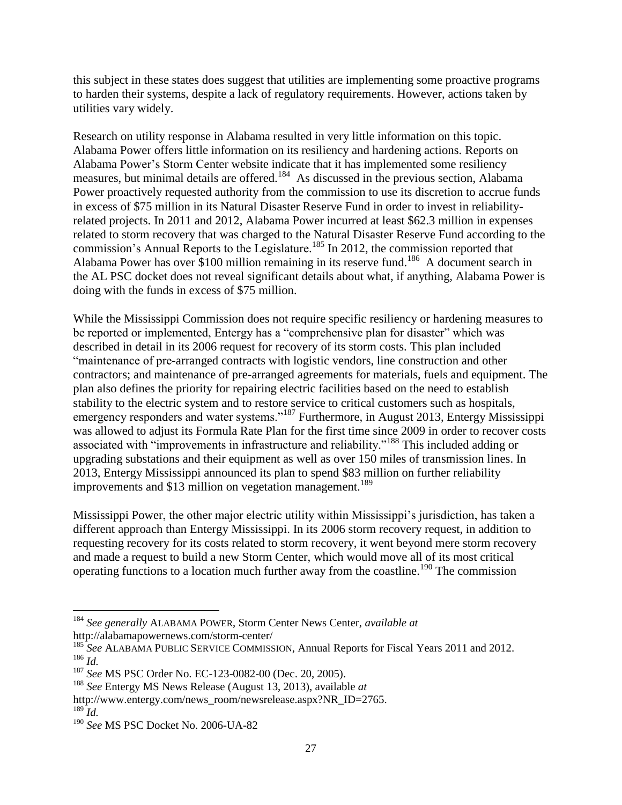this subject in these states does suggest that utilities are implementing some proactive programs to harden their systems, despite a lack of regulatory requirements. However, actions taken by utilities vary widely.

Research on utility response in Alabama resulted in very little information on this topic. Alabama Power offers little information on its resiliency and hardening actions. Reports on Alabama Power's Storm Center website indicate that it has implemented some resiliency measures, but minimal details are offered.<sup>184</sup> As discussed in the previous section, Alabama Power proactively requested authority from the commission to use its discretion to accrue funds in excess of \$75 million in its Natural Disaster Reserve Fund in order to invest in reliabilityrelated projects. In 2011 and 2012, Alabama Power incurred at least \$62.3 million in expenses related to storm recovery that was charged to the Natural Disaster Reserve Fund according to the commission's Annual Reports to the Legislature.<sup>185</sup> In 2012, the commission reported that Alabama Power has over \$100 million remaining in its reserve fund.<sup>186</sup> A document search in the AL PSC docket does not reveal significant details about what, if anything, Alabama Power is doing with the funds in excess of \$75 million.

While the Mississippi Commission does not require specific resiliency or hardening measures to be reported or implemented, Entergy has a "comprehensive plan for disaster" which was described in detail in its 2006 request for recovery of its storm costs. This plan included "maintenance of pre-arranged contracts with logistic vendors, line construction and other contractors; and maintenance of pre-arranged agreements for materials, fuels and equipment. The plan also defines the priority for repairing electric facilities based on the need to establish stability to the electric system and to restore service to critical customers such as hospitals, emergency responders and water systems."<sup>187</sup> Furthermore, in August 2013, Entergy Mississippi was allowed to adjust its Formula Rate Plan for the first time since 2009 in order to recover costs associated with "improvements in infrastructure and reliability."<sup>188</sup> This included adding or upgrading substations and their equipment as well as over 150 miles of transmission lines. In 2013, Entergy Mississippi announced its plan to spend \$83 million on further reliability improvements and \$13 million on vegetation management.<sup>189</sup>

Mississippi Power, the other major electric utility within Mississippi's jurisdiction, has taken a different approach than Entergy Mississippi. In its 2006 storm recovery request, in addition to requesting recovery for its costs related to storm recovery, it went beyond mere storm recovery and made a request to build a new Storm Center, which would move all of its most critical operating functions to a location much further away from the coastline.<sup>190</sup> The commission

<sup>184</sup> *See generally* ALABAMA POWER, Storm Center News Center, *available at* http://alabamapowernews.com/storm-center/

<sup>&</sup>lt;sup>185</sup> See ALABAMA PUBLIC SERVICE COMMISSION, Annual Reports for Fiscal Years 2011 and 2012.

<sup>186</sup> *Id.*

<sup>187</sup> *See* MS PSC Order No. EC-123-0082-00 (Dec. 20, 2005).

<sup>188</sup> *See* Entergy MS News Release (August 13, 2013), available *at*

http://www.entergy.com/news\_room/newsrelease.aspx?NR\_ID=2765.

 $^{189}$ *Id.* 

<sup>190</sup> *See* MS PSC Docket No. 2006-UA-82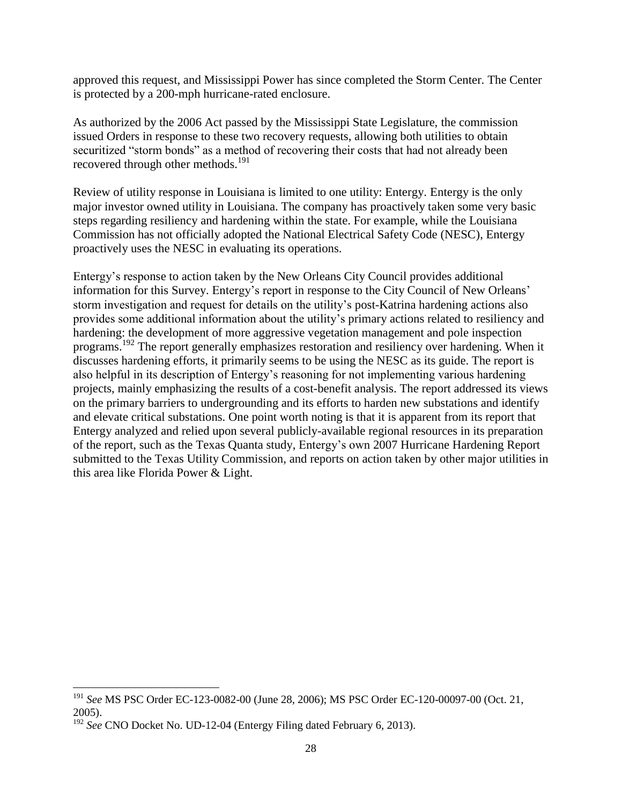approved this request, and Mississippi Power has since completed the Storm Center. The Center is protected by a 200-mph hurricane-rated enclosure.

As authorized by the 2006 Act passed by the Mississippi State Legislature, the commission issued Orders in response to these two recovery requests, allowing both utilities to obtain securitized "storm bonds" as a method of recovering their costs that had not already been recovered through other methods.<sup>191</sup>

Review of utility response in Louisiana is limited to one utility: Entergy. Entergy is the only major investor owned utility in Louisiana. The company has proactively taken some very basic steps regarding resiliency and hardening within the state. For example, while the Louisiana Commission has not officially adopted the National Electrical Safety Code (NESC), Entergy proactively uses the NESC in evaluating its operations.

Entergy's response to action taken by the New Orleans City Council provides additional information for this Survey. Entergy's report in response to the City Council of New Orleans' storm investigation and request for details on the utility's post-Katrina hardening actions also provides some additional information about the utility's primary actions related to resiliency and hardening: the development of more aggressive vegetation management and pole inspection programs. <sup>192</sup> The report generally emphasizes restoration and resiliency over hardening. When it discusses hardening efforts, it primarily seems to be using the NESC as its guide. The report is also helpful in its description of Entergy's reasoning for not implementing various hardening projects, mainly emphasizing the results of a cost-benefit analysis. The report addressed its views on the primary barriers to undergrounding and its efforts to harden new substations and identify and elevate critical substations. One point worth noting is that it is apparent from its report that Entergy analyzed and relied upon several publicly-available regional resources in its preparation of the report, such as the Texas Quanta study, Entergy's own 2007 Hurricane Hardening Report submitted to the Texas Utility Commission, and reports on action taken by other major utilities in this area like Florida Power & Light.

 $\overline{a}$ 

<sup>191</sup> *See* MS PSC Order EC-123-0082-00 (June 28, 2006); MS PSC Order EC-120-00097-00 (Oct. 21, 2005).

<sup>&</sup>lt;sup>192</sup> See CNO Docket No. UD-12-04 (Entergy Filing dated February 6, 2013).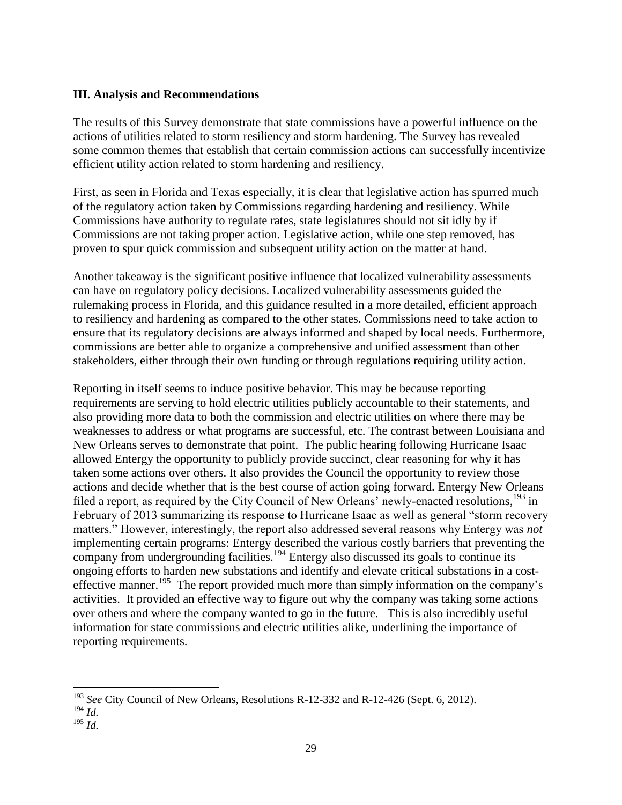#### **III. Analysis and Recommendations**

The results of this Survey demonstrate that state commissions have a powerful influence on the actions of utilities related to storm resiliency and storm hardening. The Survey has revealed some common themes that establish that certain commission actions can successfully incentivize efficient utility action related to storm hardening and resiliency.

First, as seen in Florida and Texas especially, it is clear that legislative action has spurred much of the regulatory action taken by Commissions regarding hardening and resiliency. While Commissions have authority to regulate rates, state legislatures should not sit idly by if Commissions are not taking proper action. Legislative action, while one step removed, has proven to spur quick commission and subsequent utility action on the matter at hand.

Another takeaway is the significant positive influence that localized vulnerability assessments can have on regulatory policy decisions. Localized vulnerability assessments guided the rulemaking process in Florida, and this guidance resulted in a more detailed, efficient approach to resiliency and hardening as compared to the other states. Commissions need to take action to ensure that its regulatory decisions are always informed and shaped by local needs. Furthermore, commissions are better able to organize a comprehensive and unified assessment than other stakeholders, either through their own funding or through regulations requiring utility action.

Reporting in itself seems to induce positive behavior. This may be because reporting requirements are serving to hold electric utilities publicly accountable to their statements, and also providing more data to both the commission and electric utilities on where there may be weaknesses to address or what programs are successful, etc. The contrast between Louisiana and New Orleans serves to demonstrate that point. The public hearing following Hurricane Isaac allowed Entergy the opportunity to publicly provide succinct, clear reasoning for why it has taken some actions over others. It also provides the Council the opportunity to review those actions and decide whether that is the best course of action going forward. Entergy New Orleans filed a report, as required by the City Council of New Orleans' newly-enacted resolutions,<sup>193</sup> in February of 2013 summarizing its response to Hurricane Isaac as well as general "storm recovery matters." However, interestingly, the report also addressed several reasons why Entergy was *not*  implementing certain programs: Entergy described the various costly barriers that preventing the company from undergrounding facilities.<sup>194</sup> Entergy also discussed its goals to continue its ongoing efforts to harden new substations and identify and elevate critical substations in a costeffective manner.<sup>195</sup> The report provided much more than simply information on the company's activities. It provided an effective way to figure out why the company was taking some actions over others and where the company wanted to go in the future. This is also incredibly useful information for state commissions and electric utilities alike, underlining the importance of reporting requirements.

 $\overline{a}$ <sup>193</sup> *See* City Council of New Orleans, Resolutions R-12-332 and R-12-426 (Sept. 6, 2012).

<sup>194</sup> *Id.*

<sup>195</sup> *Id.*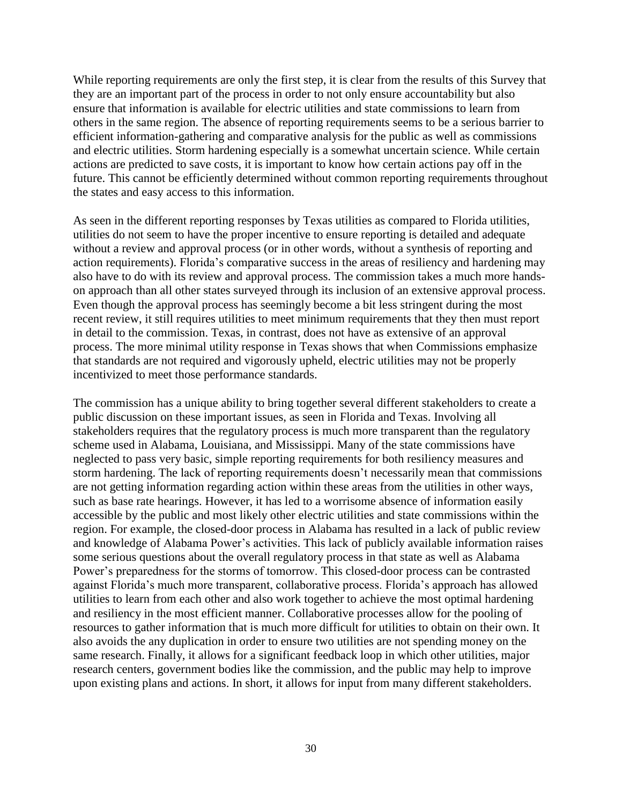While reporting requirements are only the first step, it is clear from the results of this Survey that they are an important part of the process in order to not only ensure accountability but also ensure that information is available for electric utilities and state commissions to learn from others in the same region. The absence of reporting requirements seems to be a serious barrier to efficient information-gathering and comparative analysis for the public as well as commissions and electric utilities. Storm hardening especially is a somewhat uncertain science. While certain actions are predicted to save costs, it is important to know how certain actions pay off in the future. This cannot be efficiently determined without common reporting requirements throughout the states and easy access to this information.

As seen in the different reporting responses by Texas utilities as compared to Florida utilities, utilities do not seem to have the proper incentive to ensure reporting is detailed and adequate without a review and approval process (or in other words, without a synthesis of reporting and action requirements). Florida's comparative success in the areas of resiliency and hardening may also have to do with its review and approval process. The commission takes a much more handson approach than all other states surveyed through its inclusion of an extensive approval process. Even though the approval process has seemingly become a bit less stringent during the most recent review, it still requires utilities to meet minimum requirements that they then must report in detail to the commission. Texas, in contrast, does not have as extensive of an approval process. The more minimal utility response in Texas shows that when Commissions emphasize that standards are not required and vigorously upheld, electric utilities may not be properly incentivized to meet those performance standards.

The commission has a unique ability to bring together several different stakeholders to create a public discussion on these important issues, as seen in Florida and Texas. Involving all stakeholders requires that the regulatory process is much more transparent than the regulatory scheme used in Alabama, Louisiana, and Mississippi. Many of the state commissions have neglected to pass very basic, simple reporting requirements for both resiliency measures and storm hardening. The lack of reporting requirements doesn't necessarily mean that commissions are not getting information regarding action within these areas from the utilities in other ways, such as base rate hearings. However, it has led to a worrisome absence of information easily accessible by the public and most likely other electric utilities and state commissions within the region. For example, the closed-door process in Alabama has resulted in a lack of public review and knowledge of Alabama Power's activities. This lack of publicly available information raises some serious questions about the overall regulatory process in that state as well as Alabama Power's preparedness for the storms of tomorrow. This closed-door process can be contrasted against Florida's much more transparent, collaborative process. Florida's approach has allowed utilities to learn from each other and also work together to achieve the most optimal hardening and resiliency in the most efficient manner. Collaborative processes allow for the pooling of resources to gather information that is much more difficult for utilities to obtain on their own. It also avoids the any duplication in order to ensure two utilities are not spending money on the same research. Finally, it allows for a significant feedback loop in which other utilities, major research centers, government bodies like the commission, and the public may help to improve upon existing plans and actions. In short, it allows for input from many different stakeholders.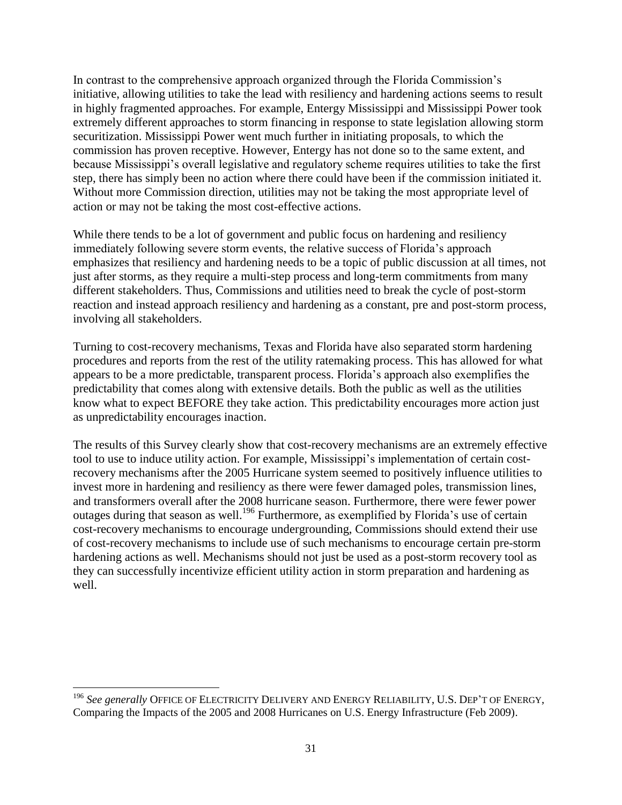In contrast to the comprehensive approach organized through the Florida Commission's initiative, allowing utilities to take the lead with resiliency and hardening actions seems to result in highly fragmented approaches. For example, Entergy Mississippi and Mississippi Power took extremely different approaches to storm financing in response to state legislation allowing storm securitization. Mississippi Power went much further in initiating proposals, to which the commission has proven receptive. However, Entergy has not done so to the same extent, and because Mississippi's overall legislative and regulatory scheme requires utilities to take the first step, there has simply been no action where there could have been if the commission initiated it. Without more Commission direction, utilities may not be taking the most appropriate level of action or may not be taking the most cost-effective actions.

While there tends to be a lot of government and public focus on hardening and resiliency immediately following severe storm events, the relative success of Florida's approach emphasizes that resiliency and hardening needs to be a topic of public discussion at all times, not just after storms, as they require a multi-step process and long-term commitments from many different stakeholders. Thus, Commissions and utilities need to break the cycle of post-storm reaction and instead approach resiliency and hardening as a constant, pre and post-storm process, involving all stakeholders.

Turning to cost-recovery mechanisms, Texas and Florida have also separated storm hardening procedures and reports from the rest of the utility ratemaking process. This has allowed for what appears to be a more predictable, transparent process. Florida's approach also exemplifies the predictability that comes along with extensive details. Both the public as well as the utilities know what to expect BEFORE they take action. This predictability encourages more action just as unpredictability encourages inaction.

The results of this Survey clearly show that cost-recovery mechanisms are an extremely effective tool to use to induce utility action. For example, Mississippi's implementation of certain costrecovery mechanisms after the 2005 Hurricane system seemed to positively influence utilities to invest more in hardening and resiliency as there were fewer damaged poles, transmission lines, and transformers overall after the 2008 hurricane season. Furthermore, there were fewer power outages during that season as well.<sup>196</sup> Furthermore, as exemplified by Florida's use of certain cost-recovery mechanisms to encourage undergrounding, Commissions should extend their use of cost-recovery mechanisms to include use of such mechanisms to encourage certain pre-storm hardening actions as well. Mechanisms should not just be used as a post-storm recovery tool as they can successfully incentivize efficient utility action in storm preparation and hardening as well.

 $\overline{a}$ 

<sup>196</sup> *See generally* OFFICE OF ELECTRICITY DELIVERY AND ENERGY RELIABILITY, U.S. DEP'T OF ENERGY, Comparing the Impacts of the 2005 and 2008 Hurricanes on U.S. Energy Infrastructure (Feb 2009).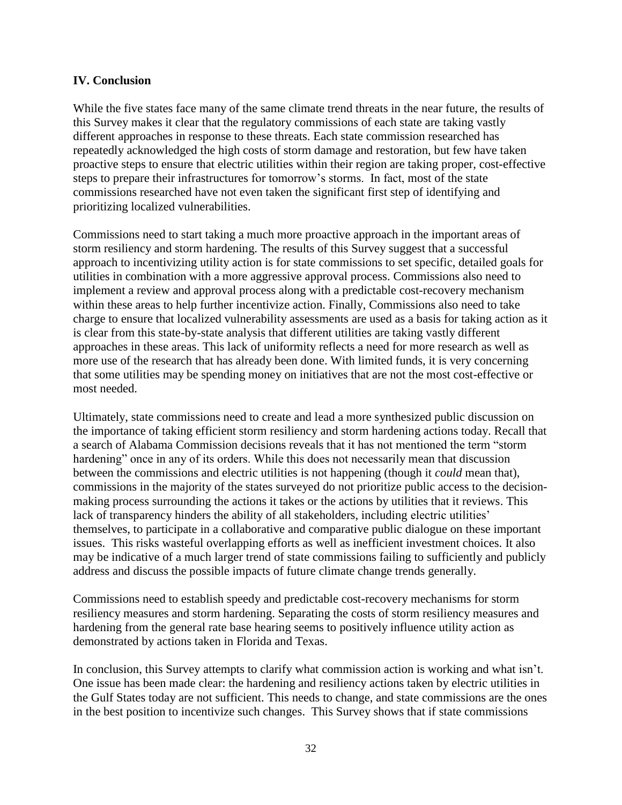#### **IV. Conclusion**

While the five states face many of the same climate trend threats in the near future, the results of this Survey makes it clear that the regulatory commissions of each state are taking vastly different approaches in response to these threats. Each state commission researched has repeatedly acknowledged the high costs of storm damage and restoration, but few have taken proactive steps to ensure that electric utilities within their region are taking proper, cost-effective steps to prepare their infrastructures for tomorrow's storms. In fact, most of the state commissions researched have not even taken the significant first step of identifying and prioritizing localized vulnerabilities.

Commissions need to start taking a much more proactive approach in the important areas of storm resiliency and storm hardening. The results of this Survey suggest that a successful approach to incentivizing utility action is for state commissions to set specific, detailed goals for utilities in combination with a more aggressive approval process. Commissions also need to implement a review and approval process along with a predictable cost-recovery mechanism within these areas to help further incentivize action. Finally, Commissions also need to take charge to ensure that localized vulnerability assessments are used as a basis for taking action as it is clear from this state-by-state analysis that different utilities are taking vastly different approaches in these areas. This lack of uniformity reflects a need for more research as well as more use of the research that has already been done. With limited funds, it is very concerning that some utilities may be spending money on initiatives that are not the most cost-effective or most needed.

Ultimately, state commissions need to create and lead a more synthesized public discussion on the importance of taking efficient storm resiliency and storm hardening actions today. Recall that a search of Alabama Commission decisions reveals that it has not mentioned the term "storm hardening" once in any of its orders. While this does not necessarily mean that discussion between the commissions and electric utilities is not happening (though it *could* mean that), commissions in the majority of the states surveyed do not prioritize public access to the decisionmaking process surrounding the actions it takes or the actions by utilities that it reviews. This lack of transparency hinders the ability of all stakeholders, including electric utilities' themselves, to participate in a collaborative and comparative public dialogue on these important issues. This risks wasteful overlapping efforts as well as inefficient investment choices. It also may be indicative of a much larger trend of state commissions failing to sufficiently and publicly address and discuss the possible impacts of future climate change trends generally.

Commissions need to establish speedy and predictable cost-recovery mechanisms for storm resiliency measures and storm hardening. Separating the costs of storm resiliency measures and hardening from the general rate base hearing seems to positively influence utility action as demonstrated by actions taken in Florida and Texas.

In conclusion, this Survey attempts to clarify what commission action is working and what isn't. One issue has been made clear: the hardening and resiliency actions taken by electric utilities in the Gulf States today are not sufficient. This needs to change, and state commissions are the ones in the best position to incentivize such changes. This Survey shows that if state commissions